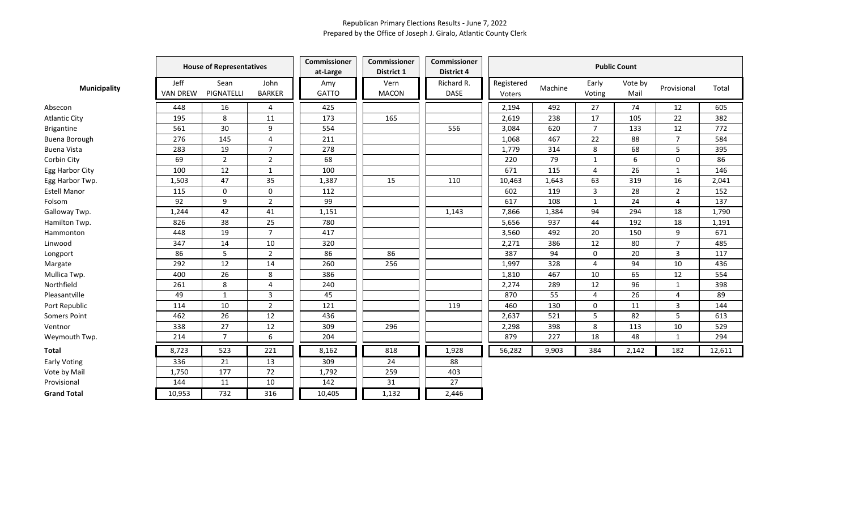|                      | <b>House of Representatives</b> |                    |                       | Commissioner<br>at-Large | Commissioner<br>District 1 | Commissioner<br>District 4 | <b>Public Count</b>  |         |                 |                 |                |        |  |
|----------------------|---------------------------------|--------------------|-----------------------|--------------------------|----------------------------|----------------------------|----------------------|---------|-----------------|-----------------|----------------|--------|--|
| <b>Municipality</b>  | Jeff<br><b>VAN DREW</b>         | Sean<br>PIGNATELLI | John<br><b>BARKER</b> | Amy<br><b>GATTO</b>      | Vern<br><b>MACON</b>       | Richard R.<br><b>DASE</b>  | Registered<br>Voters | Machine | Early<br>Voting | Vote by<br>Mail | Provisional    | Total  |  |
| Absecon              | 448                             | 16                 | 4                     | 425                      |                            |                            | 2,194                | 492     | 27              | 74              | 12             | 605    |  |
| <b>Atlantic City</b> | 195                             | 8                  | 11                    | 173                      | 165                        |                            | 2,619                | 238     | 17              | 105             | 22             | 382    |  |
| <b>Brigantine</b>    | 561                             | 30                 | 9                     | 554                      |                            | 556                        | 3,084                | 620     | $\overline{7}$  | 133             | 12             | 772    |  |
| <b>Buena Borough</b> | 276                             | 145                | 4                     | 211                      |                            |                            | 1,068                | 467     | 22              | 88              | $\overline{7}$ | 584    |  |
| <b>Buena Vista</b>   | 283                             | 19                 | $\overline{7}$        | 278                      |                            |                            | 1,779                | 314     | 8               | 68              | 5              | 395    |  |
| Corbin City          | 69                              | $\overline{2}$     | $\overline{2}$        | 68                       |                            |                            | 220                  | 79      | 1               | 6               | 0              | 86     |  |
| Egg Harbor City      | 100                             | 12                 | $\mathbf{1}$          | 100                      |                            |                            | 671                  | 115     | $\overline{4}$  | 26              | $\mathbf{1}$   | 146    |  |
| Egg Harbor Twp.      | 1,503                           | 47                 | 35                    | 1,387                    | 15                         | 110                        | 10,463               | 1,643   | 63              | 319             | 16             | 2,041  |  |
| <b>Estell Manor</b>  | 115                             | 0                  | 0                     | 112                      |                            |                            | 602                  | 119     | 3               | 28              | $\overline{2}$ | 152    |  |
| Folsom               | 92                              | 9                  | $\overline{2}$        | 99                       |                            |                            | 617                  | 108     | $\mathbf{1}$    | 24              | 4              | 137    |  |
| Galloway Twp.        | 1,244                           | 42                 | 41                    | 1,151                    |                            | 1,143                      | 7,866                | 1,384   | 94              | 294             | 18             | 1,790  |  |
| Hamilton Twp.        | 826                             | 38                 | 25                    | 780                      |                            |                            | 5,656                | 937     | 44              | 192             | 18             | 1,191  |  |
| Hammonton            | 448                             | 19                 | $\overline{7}$        | 417                      |                            |                            | 3,560                | 492     | 20              | 150             | 9              | 671    |  |
| Linwood              | 347                             | 14                 | 10                    | 320                      |                            |                            | 2,271                | 386     | 12              | 80              | $\overline{7}$ | 485    |  |
| Longport             | 86                              | 5                  | $\overline{2}$        | 86                       | 86                         |                            | 387                  | 94      | $\mathbf 0$     | 20              | 3              | 117    |  |
| Margate              | 292                             | 12                 | 14                    | 260                      | 256                        |                            | 1,997                | 328     | 4               | 94              | $10\,$         | 436    |  |
| Mullica Twp.         | 400                             | 26                 | 8                     | 386                      |                            |                            | 1,810                | 467     | 10              | 65              | 12             | 554    |  |
| Northfield           | 261                             | 8                  | 4                     | 240                      |                            |                            | 2,274                | 289     | 12              | 96              | $\mathbf{1}$   | 398    |  |
| Pleasantville        | 49                              | $\mathbf{1}$       | 3                     | 45                       |                            |                            | 870                  | 55      | 4               | 26              | 4              | 89     |  |
| Port Republic        | 114                             | 10                 | $\overline{2}$        | 121                      |                            | 119                        | 460                  | 130     | 0               | 11              | 3              | 144    |  |
| Somers Point         | 462                             | 26                 | 12                    | 436                      |                            |                            | 2,637                | 521     | 5               | 82              | 5              | 613    |  |
| Ventnor              | 338                             | 27                 | 12                    | 309                      | 296                        |                            | 2,298                | 398     | 8               | 113             | 10             | 529    |  |
| Weymouth Twp.        | 214                             | $\overline{7}$     | 6                     | 204                      |                            |                            | 879                  | 227     | 18              | 48              | $\mathbf{1}$   | 294    |  |
| Total                | 8,723                           | 523                | 221                   | 8,162                    | 818                        | 1,928                      | 56,282               | 9,903   | 384             | 2,142           | 182            | 12,611 |  |
| <b>Early Voting</b>  | 336                             | 21                 | 13                    | 309                      | 24                         | 88                         |                      |         |                 |                 |                |        |  |
| Vote by Mail         | 1,750                           | 177                | 72                    | 1,792                    | 259                        | 403                        |                      |         |                 |                 |                |        |  |
| Provisional          | 144                             | 11                 | 10                    | 142                      | 31                         | 27                         |                      |         |                 |                 |                |        |  |
| <b>Grand Total</b>   | 10,953                          | 732                | 316                   | 10,405                   | 1,132                      | 2,446                      |                      |         |                 |                 |                |        |  |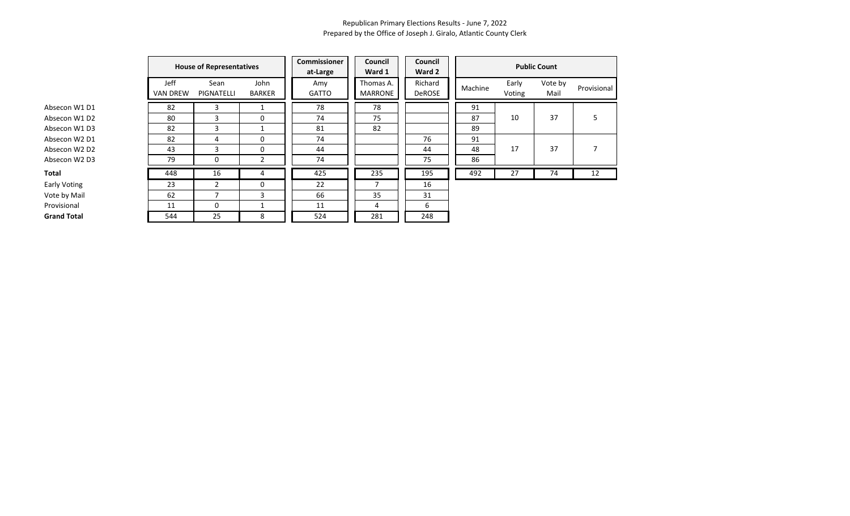| Absecon W1 D1                         |
|---------------------------------------|
| Absecon W1 D2                         |
| Absecon W1 D3                         |
| Absecon W2 D1                         |
| Absecon W <sub>2</sub> D <sub>2</sub> |
| Absecon W2 D3                         |
| Total                                 |
| Early Voting                          |
| Vote by Mail                          |
| Provisional                           |

|                     |                         | <b>House of Representatives</b> |                       | <b>Commissioner</b><br>at-Large | Council<br>Ward 1           | Council<br>Ward 2 | <b>Public Count</b> |                 |                 |         |  |  |
|---------------------|-------------------------|---------------------------------|-----------------------|---------------------------------|-----------------------------|-------------------|---------------------|-----------------|-----------------|---------|--|--|
|                     | Jeff<br><b>VAN DREW</b> | Sean<br>PIGNATELLI              | John<br><b>BARKER</b> | Amy<br><b>GATTO</b>             | Thomas A.<br><b>MARRONE</b> | Richard<br>DeROSE | Machine             | Early<br>Voting | Vote by<br>Mail | Provisi |  |  |
| Absecon W1 D1       | 82                      | 3                               |                       | 78                              | 78                          |                   | 91                  |                 |                 |         |  |  |
| Absecon W1 D2       | 80                      | ς                               | 0                     | 74                              | 75                          |                   | 87                  | 10              | 37              | 5       |  |  |
| Absecon W1 D3       | 82                      | 3                               |                       | 81                              | 82                          |                   | 89                  |                 |                 |         |  |  |
| Absecon W2 D1       | 82                      | 4                               | $\Omega$              | 74                              |                             | 76                | 91                  |                 |                 |         |  |  |
| Absecon W2 D2       | 43                      | 3                               | 0                     | 44                              |                             | 44                | 48                  | 17              | 37              | 7       |  |  |
| Absecon W2 D3       | 79                      | 0                               | $\overline{2}$        | 74                              |                             | 75                | 86                  |                 |                 |         |  |  |
| Total               | 448                     | 16                              | 4                     | 425                             | 235                         | 195               | 492                 | 27              | 74              | 12      |  |  |
| <b>Early Voting</b> | 23                      | 2                               | 0                     | 22                              |                             | 16                |                     |                 |                 |         |  |  |
| Vote by Mail        | 62                      |                                 | 3                     | 66                              | 35                          | 31                |                     |                 |                 |         |  |  |
| Provisional         | 11                      | 0                               |                       | 11                              | 4                           | 6                 |                     |                 |                 |         |  |  |
| <b>Grand Total</b>  | 544                     | 25                              | 8                     | 524                             | 281                         | 248               |                     |                 |                 |         |  |  |

|         |                 | <b>Public Count</b> |             |
|---------|-----------------|---------------------|-------------|
| Machine | Early<br>Voting | Vote by<br>Mail     | Provisional |
| 91      |                 |                     |             |
| 87      | 10              | 37                  | 5           |
| 89      |                 |                     |             |
| 91      |                 |                     |             |
| 48      | 17              | 37                  | 7           |
| 86      |                 |                     |             |
| 492     | 27              | 74                  | 12          |
|         |                 |                     |             |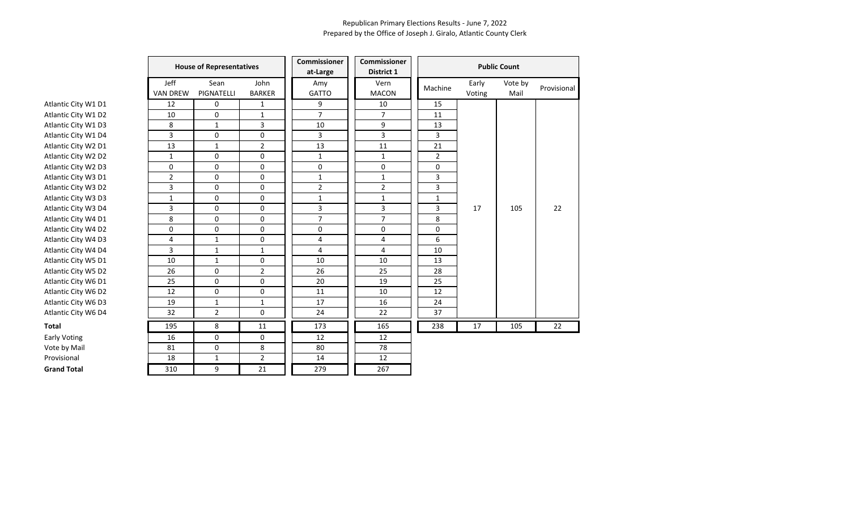|                     | <b>House of Representatives</b> |                    |                       | Commissioner<br>at-Large | <b>Commissioner</b><br>District 1 | <b>Public Count</b> |                 |                 |             |  |  |
|---------------------|---------------------------------|--------------------|-----------------------|--------------------------|-----------------------------------|---------------------|-----------------|-----------------|-------------|--|--|
|                     | Jeff<br><b>VAN DREW</b>         | Sean<br>PIGNATELLI | John<br><b>BARKER</b> | Amy<br><b>GATTO</b>      | Vern<br><b>MACON</b>              | Machine             | Early<br>Voting | Vote by<br>Mail | Provisional |  |  |
| Atlantic City W1 D1 | 12                              | $\mathbf 0$        | $\mathbf{1}$          | 9                        | 10                                | 15                  |                 |                 |             |  |  |
| Atlantic City W1 D2 | 10                              | 0                  | $\mathbf{1}$          | $\overline{7}$           | $\overline{7}$                    | 11                  |                 |                 |             |  |  |
| Atlantic City W1 D3 | 8                               | $\mathbf{1}$       | 3                     | 10                       | 9                                 | 13                  |                 |                 |             |  |  |
| Atlantic City W1 D4 | 3                               | 0                  | 0                     | 3                        | 3                                 | 3                   |                 |                 |             |  |  |
| Atlantic City W2 D1 | 13                              | $\mathbf{1}$       | $\overline{2}$        | 13                       | 11                                | 21                  |                 |                 |             |  |  |
| Atlantic City W2 D2 | 1                               | 0                  | 0                     | $\mathbf{1}$             | $\mathbf{1}$                      | $\overline{2}$      |                 |                 |             |  |  |
| Atlantic City W2 D3 | 0                               | 0                  | 0                     | 0                        | 0                                 | $\Omega$            |                 |                 |             |  |  |
| Atlantic City W3 D1 | 2                               | 0                  | 0                     | $\mathbf{1}$             | $\mathbf{1}$                      | 3                   |                 |                 |             |  |  |
| Atlantic City W3 D2 | 3                               | $\mathbf 0$        | 0                     | $\overline{2}$           | $\overline{2}$                    | $\overline{3}$      |                 |                 |             |  |  |
| Atlantic City W3 D3 | $\mathbf{1}$                    | 0                  | 0                     | $\mathbf 1$              | $\mathbf{1}$                      | $\mathbf{1}$        |                 |                 |             |  |  |
| Atlantic City W3 D4 | 3                               | 0                  | 0                     | 3                        | 3                                 | 3                   | 17              | 105             | 22          |  |  |
| Atlantic City W4 D1 | 8                               | 0                  | 0                     | 7                        | $\overline{7}$                    | 8                   |                 |                 |             |  |  |
| Atlantic City W4 D2 | 0                               | 0                  | $\mathbf 0$           | 0                        | 0                                 | $\Omega$            |                 |                 |             |  |  |
| Atlantic City W4 D3 | 4                               | $\mathbf{1}$       | 0                     | 4                        | 4                                 | 6                   |                 |                 |             |  |  |
| Atlantic City W4 D4 | 3                               | $\mathbf{1}$       | $\mathbf{1}$          | $\overline{4}$           | $\overline{4}$                    | 10                  |                 |                 |             |  |  |
| Atlantic City W5 D1 | 10                              | $\mathbf{1}$       | 0                     | 10                       | 10                                | 13                  |                 |                 |             |  |  |
| Atlantic City W5 D2 | 26                              | 0                  | $\overline{2}$        | 26                       | 25                                | 28                  |                 |                 |             |  |  |
| Atlantic City W6 D1 | 25                              | 0                  | $\mathbf 0$           | 20                       | 19                                | 25                  |                 |                 |             |  |  |
| Atlantic City W6 D2 | 12                              | 0                  | 0                     | 11                       | 10                                | 12                  |                 |                 |             |  |  |
| Atlantic City W6 D3 | 19                              | $\mathbf{1}$       | 1                     | 17                       | 16                                | 24                  |                 |                 |             |  |  |
| Atlantic City W6 D4 | 32                              | $\overline{2}$     | 0                     | 24                       | 22                                | 37                  |                 |                 |             |  |  |
| Total               | 195                             | 8                  | 11                    | 173                      | 165                               | 238                 | 17              | 105             | 22          |  |  |
| <b>Early Voting</b> | 16                              | $\mathbf 0$        | 0                     | 12                       | 12                                |                     |                 |                 |             |  |  |
| Vote by Mail        | 81                              | 0                  | 8                     | 80                       | 78                                |                     |                 |                 |             |  |  |
| Provisional         | 18                              | $\mathbf{1}$       | $\overline{2}$        | 14                       | 12                                |                     |                 |                 |             |  |  |
| <b>Grand Total</b>  | 310                             | 9                  | 21                    | 279                      | 267                               |                     |                 |                 |             |  |  |
|                     |                                 |                    |                       |                          |                                   |                     |                 |                 |             |  |  |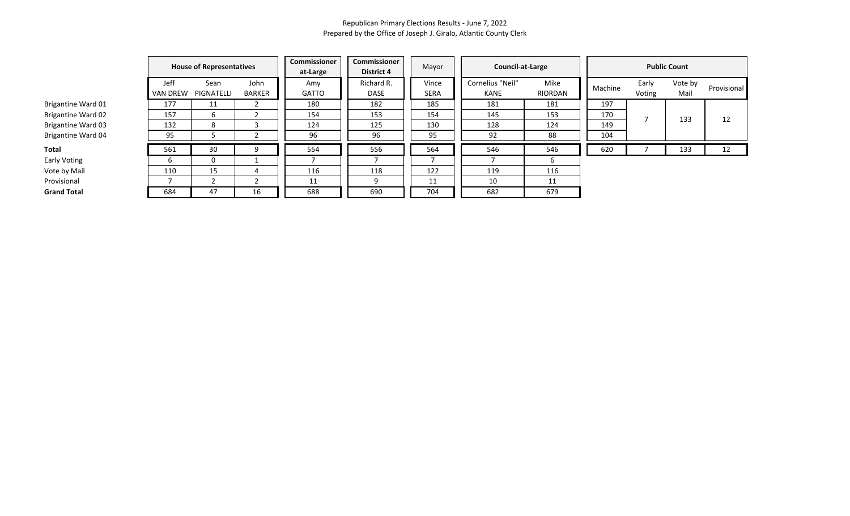|                           |                         | <b>House of Representatives</b> |                       |              | <b>Commissioner</b><br><b>District 4</b> | Mayor         | Council-at-Large         | <b>Public Count</b> |         |                 |                 |             |
|---------------------------|-------------------------|---------------------------------|-----------------------|--------------|------------------------------------------|---------------|--------------------------|---------------------|---------|-----------------|-----------------|-------------|
|                           | Jeff<br><b>VAN DREW</b> | Sean<br>PIGNATELLI              | John<br><b>BARKER</b> | Amy<br>GATTO | Richard R.<br>DASE                       | Vince<br>SERA | Cornelius "Neil"<br>KANE | Mike<br>RIORDAN     | Machine | Early<br>Voting | Vote by<br>Mail | Provisional |
| Brigantine Ward 01        | 177                     | 11                              |                       | 180          | 182                                      | 185           | 181                      | 181                 | 197     |                 |                 |             |
| <b>Brigantine Ward 02</b> | 157                     |                                 |                       | 154          | 153                                      | 154           | 145                      | 153                 | 170     |                 | 133             | 12          |
| <b>Brigantine Ward 03</b> | 132                     |                                 |                       | 124          | 125                                      | 130           | 128                      | 124                 | 149     |                 |                 |             |
| <b>Brigantine Ward 04</b> | 95                      |                                 |                       | 96           | 96                                       | 95            | 92                       | 88                  | 104     |                 |                 |             |
| Total                     | 561                     | 30                              | 9                     | 554          | 556                                      | 564           | 546                      | 546                 | 620     |                 | 133             | 12          |
| Early Voting              | b                       |                                 |                       |              |                                          |               |                          |                     |         |                 |                 |             |
| Vote by Mail              | 110                     | 15                              | 4                     | 116          | 118                                      | 122           | 119                      | 116                 |         |                 |                 |             |
| Provisional               |                         |                                 |                       | 11           | 9                                        | 11            | 10                       | 11                  |         |                 |                 |             |
| <b>Grand Total</b>        | 684                     | 47                              | 16                    | 688          | 690                                      | 704           | 682                      | 679                 |         |                 |                 |             |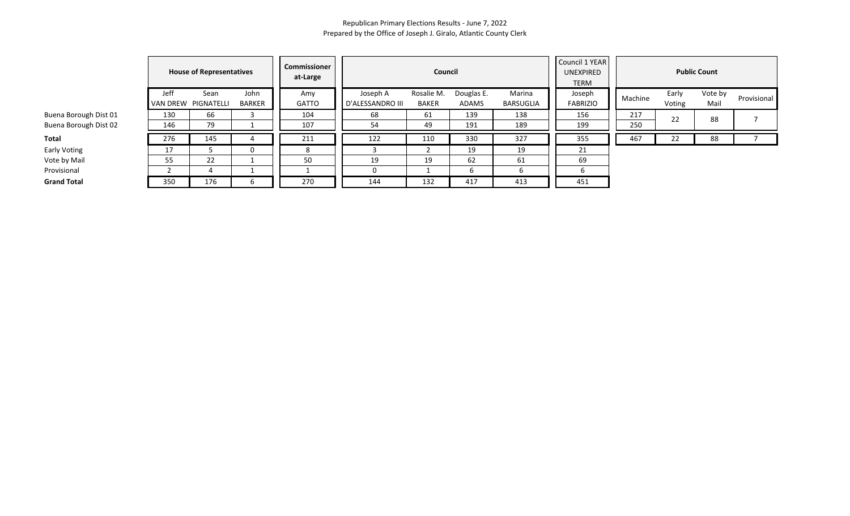|                       |                         | <b>House of Representatives</b> |                       | <b>Commissioner</b><br>at-Large |                              | Council             |                            | Council 1 YEAR<br><b>UNEXPIRED</b><br><b>TERM</b> | <b>Public Count</b>       |         |                 |                 |             |  |
|-----------------------|-------------------------|---------------------------------|-----------------------|---------------------------------|------------------------------|---------------------|----------------------------|---------------------------------------------------|---------------------------|---------|-----------------|-----------------|-------------|--|
|                       | Jeff<br><b>VAN DREW</b> | Sean<br>PIGNATELLI              | John<br><b>BARKER</b> | Amy<br><b>GATTO</b>             | Joseph A<br>D'ALESSANDRO III | Rosalie M.<br>BAKER | Douglas E.<br><b>ADAMS</b> | Marina<br>BARSUGLIA                               | Joseph<br><b>FABRIZIO</b> | Machine | Early<br>Voting | Vote by<br>Mail | Provisional |  |
| Buena Borough Dist 01 | 130                     | 66                              |                       | 104                             | 68                           | 61                  | 139                        | 138                                               | 156                       | 217     | 22              | 88              |             |  |
| Buena Borough Dist 02 | 146                     | 79                              |                       | 107                             | 54                           | 49                  | 191                        | 189                                               | 199                       | 250     |                 |                 |             |  |
| Total                 | 276                     | 145                             |                       | 211                             | 122                          | 110                 | 330                        | 327                                               | 355                       | 467     | 22              | 88              |             |  |
| Early Voting          | 17                      |                                 |                       | 8                               |                              |                     | 19                         | 19                                                | 21                        |         |                 |                 |             |  |
| Vote by Mail          | 55                      | 22                              |                       | 50                              | 19                           | 19                  | 62                         | 61                                                | 69                        |         |                 |                 |             |  |
| Provisional           |                         | 4                               |                       |                                 |                              |                     |                            |                                                   | b                         |         |                 |                 |             |  |
| <b>Grand Total</b>    | 350                     | 176                             | b                     | 270                             | 144                          | 132                 | 417                        | 413                                               | 451                       |         |                 |                 |             |  |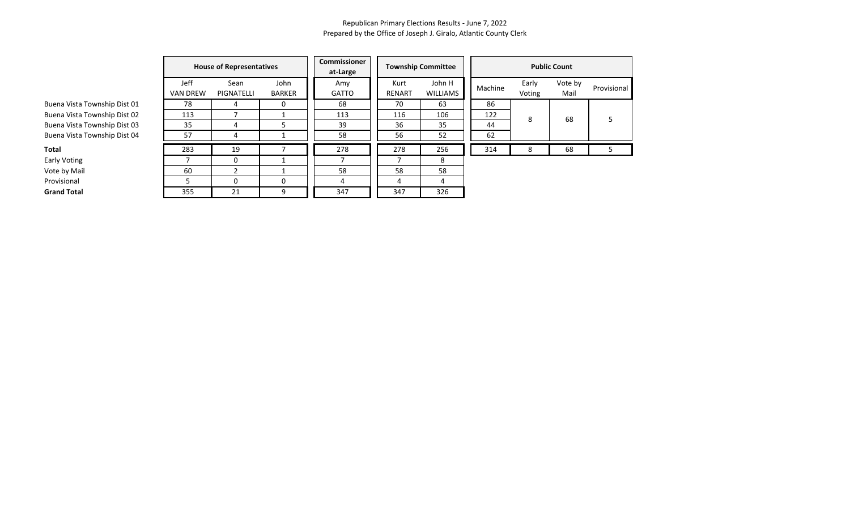|                              |                                | <b>House of Representatives</b> |                       |                     |                | <b>Township Committee</b> | <b>Public Count</b> |                 |                 |             |  |  |
|------------------------------|--------------------------------|---------------------------------|-----------------------|---------------------|----------------|---------------------------|---------------------|-----------------|-----------------|-------------|--|--|
|                              | <b>Jeff</b><br><b>VAN DREW</b> | Sean<br>PIGNATELLI              | John<br><b>BARKER</b> | Amy<br><b>GATTO</b> | Kurt<br>RENART | John H<br><b>WILLIAMS</b> | Machine             | Early<br>Voting | Vote by<br>Mail | Provisional |  |  |
| Buena Vista Township Dist 01 | 78                             | 4                               | $\Omega$              | 68                  | 70             | 63                        | 86                  |                 |                 |             |  |  |
| Buena Vista Township Dist 02 | 113                            |                                 |                       | 113                 | 116            | 106                       | 122                 | 8               | 68              |             |  |  |
| Buena Vista Township Dist 03 | 35                             | 4                               | 5                     | 39                  | 36             | 35                        | 44                  |                 |                 |             |  |  |
| Buena Vista Township Dist 04 | 57                             | 4                               |                       | 58                  | 56             | 52                        | 62                  |                 |                 |             |  |  |
| Total                        | 283                            | 19                              |                       | 278                 | 278            | 256                       | 314                 | x               | 68              |             |  |  |
| Early Voting                 |                                |                                 |                       |                     |                | 8                         |                     |                 |                 |             |  |  |
| Vote by Mail                 | 60                             | ຳ                               |                       | 58                  | 58             | 58                        |                     |                 |                 |             |  |  |
| Provisional                  |                                | $\Omega$                        | 0                     | 4                   | 4              | 4                         |                     |                 |                 |             |  |  |
| <b>Grand Total</b>           | 355                            | 21                              | 9                     | 347                 | 347            | 326                       |                     |                 |                 |             |  |  |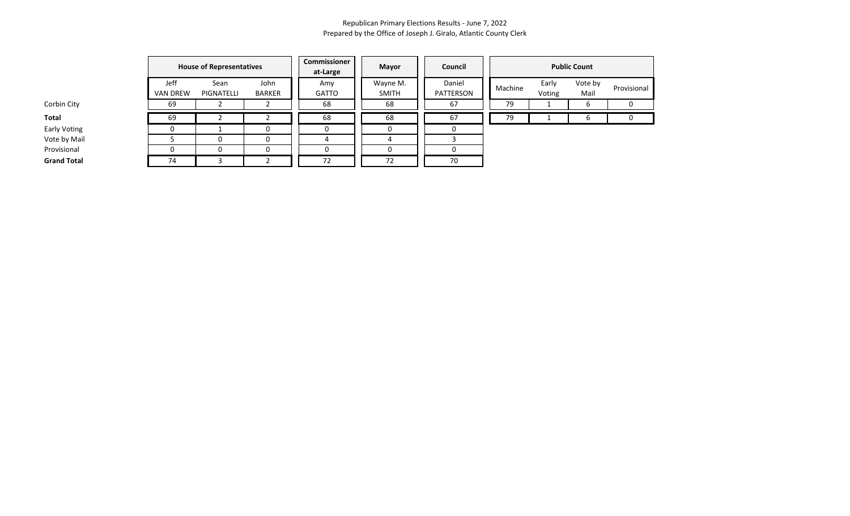|                    |                         | <b>House of Representatives</b> |                       | Commissioner<br>at-Large | <b>Mayor</b>             | Council             |         |                 | <b>Public Count</b> |             |
|--------------------|-------------------------|---------------------------------|-----------------------|--------------------------|--------------------------|---------------------|---------|-----------------|---------------------|-------------|
|                    | Jeff<br><b>VAN DREW</b> | Sean<br>PIGNATELLI              | John<br><b>BARKER</b> | Amy<br><b>GATTO</b>      | Wayne M.<br><b>SMITH</b> | Daniel<br>PATTERSON | Machine | Early<br>Voting | Vote by<br>Mail     | Provisional |
| Corbin City        | 69                      |                                 |                       | 68                       | 68                       | 67                  | 79      |                 | ь                   | 0           |
| Total              | 69                      |                                 |                       | 68                       | 68                       | 67                  | 79      |                 | h                   |             |
| Early Voting       |                         |                                 | $\blacksquare$        | O                        | U                        |                     |         |                 |                     |             |
| Vote by Mail       |                         |                                 |                       |                          |                          |                     |         |                 |                     |             |
| Provisional        |                         |                                 | 0                     | O                        | 0                        |                     |         |                 |                     |             |
| <b>Grand Total</b> | 74                      |                                 |                       | 72                       | 72                       | 70                  |         |                 |                     |             |

Early Voting Vote by Mail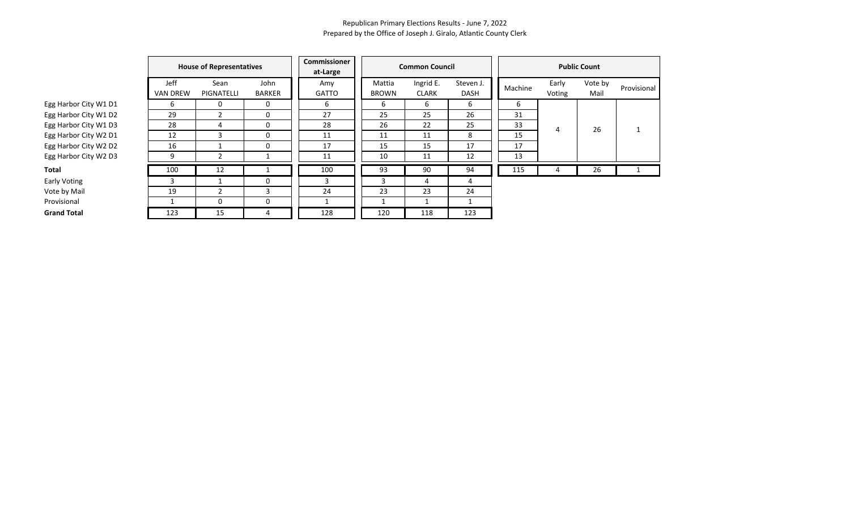|                       | <b>House of Representatives</b> |                    |                       | Commissioner<br>at-Large |                        | <b>Common Council</b>     |                          | <b>Public Count</b> |                 |                 |             |  |  |
|-----------------------|---------------------------------|--------------------|-----------------------|--------------------------|------------------------|---------------------------|--------------------------|---------------------|-----------------|-----------------|-------------|--|--|
|                       | Jeff<br><b>VAN DREW</b>         | Sean<br>PIGNATELLI | John<br><b>BARKER</b> | Amy<br><b>GATTO</b>      | Mattia<br><b>BROWN</b> | Ingrid E.<br><b>CLARK</b> | Steven J.<br><b>DASH</b> | Machine             | Early<br>Voting | Vote by<br>Mail | Provisional |  |  |
| Egg Harbor City W1 D1 | b                               | 0                  | 0                     | 6                        | 6                      | 6                         | 6                        | 6                   |                 |                 |             |  |  |
| Egg Harbor City W1 D2 | 29                              | 2                  | 0                     | 27                       | 25                     | 25                        | 26                       | 31                  |                 |                 |             |  |  |
| Egg Harbor City W1 D3 | 28                              | 4                  | 0                     | 28                       | 26                     | 22                        | 25                       | 33                  | 4               | 26              |             |  |  |
| Egg Harbor City W2 D1 | 12                              | 3                  | 0                     | 11                       | 11                     | 11                        | 8                        | 15                  |                 |                 |             |  |  |
| Egg Harbor City W2 D2 | 16                              |                    | $\Omega$              | 17                       | 15                     | 15                        | 17                       | 17                  |                 |                 |             |  |  |
| Egg Harbor City W2 D3 | 9                               |                    |                       | 11                       | 10                     | 11                        | 12                       | 13                  |                 |                 |             |  |  |
| <b>Total</b>          | 100                             | 12                 |                       | 100                      | 93                     | 90                        | 94                       | 115                 | 4               | 26              |             |  |  |
| Early Voting          | 3                               |                    | $\Omega$              | 3                        | 3                      | 4                         | 4                        |                     |                 |                 |             |  |  |
| Vote by Mail          | 19                              |                    | 3                     | 24                       | 23                     | 23                        | 24                       |                     |                 |                 |             |  |  |
| Provisional           |                                 | 0                  | 0                     |                          |                        |                           |                          |                     |                 |                 |             |  |  |
| <b>Grand Total</b>    | 123                             | 15                 |                       | 128                      | 120                    | 118                       | 123                      |                     |                 |                 |             |  |  |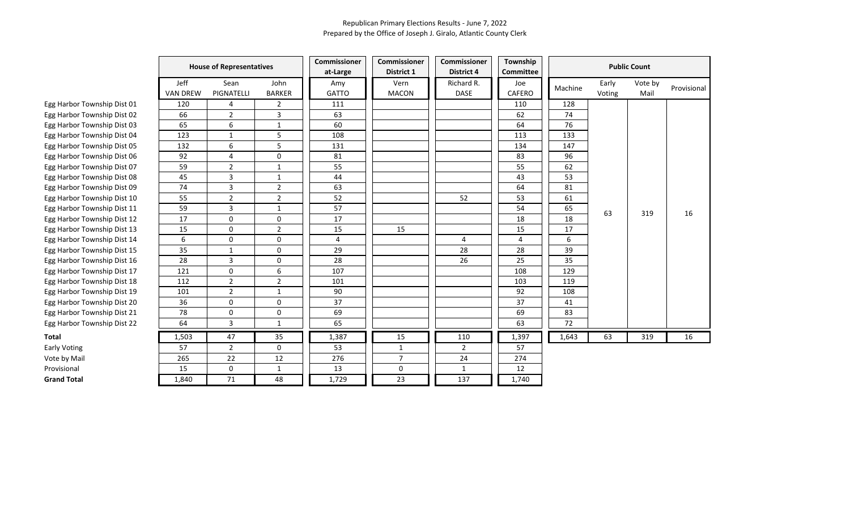| Jeff<br>Sean<br>John<br>Richard R.<br>Early<br>Vote by<br>Vern<br>Joe<br>Amy<br>Machine<br>PIGNATELLI<br><b>GATTO</b><br><b>VAN DREW</b><br><b>BARKER</b><br><b>MACON</b><br><b>DASE</b><br><b>CAFERO</b><br>Voting<br>Mail<br>Egg Harbor Township Dist 01<br>120<br>4<br>$\overline{2}$<br>111<br>110<br>128<br>66<br>63<br>Egg Harbor Township Dist 02<br>$\overline{2}$<br>3<br>62<br>74<br>65<br>6<br>60<br>76<br>64<br>Egg Harbor Township Dist 03<br>$\mathbf{1}$<br>5<br>123<br>$\mathbf{1}$<br>108<br>Egg Harbor Township Dist 04<br>113<br>133<br>6<br>5<br>Egg Harbor Township Dist 05<br>132<br>134<br>131<br>147<br>92<br>83<br>96<br>Egg Harbor Township Dist 06<br>$\overline{4}$<br>0<br>81<br>$\overline{2}$<br>59<br>55<br>55<br>62<br>Egg Harbor Township Dist 07<br>$\mathbf{1}$<br>Egg Harbor Township Dist 08<br>45<br>3<br>44<br>43<br>53<br>$\mathbf{1}$<br>74<br>3<br>$\overline{2}$<br>63<br>Egg Harbor Township Dist 09<br>64<br>81<br>55<br>$\overline{2}$<br>52<br>53<br>$\overline{2}$<br>52<br>61<br>Egg Harbor Township Dist 10<br>57<br>59<br>3<br>Egg Harbor Township Dist 11<br>$\mathbf{1}$<br>54<br>65<br>63<br>319<br>16<br>$\mathbf 0$<br>17<br>17<br>0<br>18<br>Egg Harbor Township Dist 12<br>18<br>$\mathbf 0$<br>$\overline{2}$<br>15<br>Egg Harbor Township Dist 13<br>15<br>15<br>15<br>17<br>6<br>$\mathbf 0$<br>0<br>6<br>Egg Harbor Township Dist 14<br>4<br>4<br>4<br>28<br>35<br>29<br>28<br>39<br>Egg Harbor Township Dist 15<br>$\mathbf{1}$<br>0<br>28<br>3<br>28<br>Egg Harbor Township Dist 16<br>0<br>26<br>25<br>35<br>$\mathbf 0$<br>6<br>107<br>Egg Harbor Township Dist 17<br>121<br>108<br>129<br>$\overline{2}$<br>112<br>$\overline{2}$<br>119<br>101<br>103<br>Egg Harbor Township Dist 18<br>Egg Harbor Township Dist 19<br>101<br>$\overline{2}$<br>90<br>92<br>$\mathbf{1}$<br>108<br>37<br>36<br>$\mathbf 0$<br>37<br>Egg Harbor Township Dist 20<br>0<br>41<br>78<br>0<br>0<br>69<br>69<br>Egg Harbor Township Dist 21<br>83<br>3<br>65<br>63<br>72<br>Egg Harbor Township Dist 22<br>64<br>1<br>Total<br>1,503<br>47<br>35<br>1,387<br>15<br>110<br>1,397<br>1,643<br>63<br>319<br>57<br>$\overline{2}$<br>53<br>$\overline{2}$<br>Early Voting<br>0<br>$\mathbf{1}$<br>57<br>$\overline{7}$<br>24<br>Vote by Mail<br>265<br>22<br>12<br>276<br>274<br>$\mathbf 0$<br>12<br>15<br>13<br>0<br>$\mathbf{1}$<br>$\mathbf{1}$<br>Provisional<br>71<br>23<br>137<br><b>Grand Total</b><br>1,840<br>48<br>1,729<br>1,740 |  | <b>House of Representatives</b> | Commissioner<br>at-Large | Commissioner<br>District 1 | <b>Commissioner</b><br><b>District 4</b> | Township<br><b>Committee</b> |  | <b>Public Count</b> |             |
|-----------------------------------------------------------------------------------------------------------------------------------------------------------------------------------------------------------------------------------------------------------------------------------------------------------------------------------------------------------------------------------------------------------------------------------------------------------------------------------------------------------------------------------------------------------------------------------------------------------------------------------------------------------------------------------------------------------------------------------------------------------------------------------------------------------------------------------------------------------------------------------------------------------------------------------------------------------------------------------------------------------------------------------------------------------------------------------------------------------------------------------------------------------------------------------------------------------------------------------------------------------------------------------------------------------------------------------------------------------------------------------------------------------------------------------------------------------------------------------------------------------------------------------------------------------------------------------------------------------------------------------------------------------------------------------------------------------------------------------------------------------------------------------------------------------------------------------------------------------------------------------------------------------------------------------------------------------------------------------------------------------------------------------------------------------------------------------------------------------------------------------------------------------------------------------------------------------------------------------------------------------------------------------------------------------------------------------------------------------------------------------------------------------------------------------------------------------------------------------------|--|---------------------------------|--------------------------|----------------------------|------------------------------------------|------------------------------|--|---------------------|-------------|
|                                                                                                                                                                                                                                                                                                                                                                                                                                                                                                                                                                                                                                                                                                                                                                                                                                                                                                                                                                                                                                                                                                                                                                                                                                                                                                                                                                                                                                                                                                                                                                                                                                                                                                                                                                                                                                                                                                                                                                                                                                                                                                                                                                                                                                                                                                                                                                                                                                                                                         |  |                                 |                          |                            |                                          |                              |  |                     | Provisional |
|                                                                                                                                                                                                                                                                                                                                                                                                                                                                                                                                                                                                                                                                                                                                                                                                                                                                                                                                                                                                                                                                                                                                                                                                                                                                                                                                                                                                                                                                                                                                                                                                                                                                                                                                                                                                                                                                                                                                                                                                                                                                                                                                                                                                                                                                                                                                                                                                                                                                                         |  |                                 |                          |                            |                                          |                              |  |                     |             |
|                                                                                                                                                                                                                                                                                                                                                                                                                                                                                                                                                                                                                                                                                                                                                                                                                                                                                                                                                                                                                                                                                                                                                                                                                                                                                                                                                                                                                                                                                                                                                                                                                                                                                                                                                                                                                                                                                                                                                                                                                                                                                                                                                                                                                                                                                                                                                                                                                                                                                         |  |                                 |                          |                            |                                          |                              |  |                     |             |
|                                                                                                                                                                                                                                                                                                                                                                                                                                                                                                                                                                                                                                                                                                                                                                                                                                                                                                                                                                                                                                                                                                                                                                                                                                                                                                                                                                                                                                                                                                                                                                                                                                                                                                                                                                                                                                                                                                                                                                                                                                                                                                                                                                                                                                                                                                                                                                                                                                                                                         |  |                                 |                          |                            |                                          |                              |  |                     |             |
|                                                                                                                                                                                                                                                                                                                                                                                                                                                                                                                                                                                                                                                                                                                                                                                                                                                                                                                                                                                                                                                                                                                                                                                                                                                                                                                                                                                                                                                                                                                                                                                                                                                                                                                                                                                                                                                                                                                                                                                                                                                                                                                                                                                                                                                                                                                                                                                                                                                                                         |  |                                 |                          |                            |                                          |                              |  |                     |             |
|                                                                                                                                                                                                                                                                                                                                                                                                                                                                                                                                                                                                                                                                                                                                                                                                                                                                                                                                                                                                                                                                                                                                                                                                                                                                                                                                                                                                                                                                                                                                                                                                                                                                                                                                                                                                                                                                                                                                                                                                                                                                                                                                                                                                                                                                                                                                                                                                                                                                                         |  |                                 |                          |                            |                                          |                              |  |                     |             |
|                                                                                                                                                                                                                                                                                                                                                                                                                                                                                                                                                                                                                                                                                                                                                                                                                                                                                                                                                                                                                                                                                                                                                                                                                                                                                                                                                                                                                                                                                                                                                                                                                                                                                                                                                                                                                                                                                                                                                                                                                                                                                                                                                                                                                                                                                                                                                                                                                                                                                         |  |                                 |                          |                            |                                          |                              |  |                     |             |
|                                                                                                                                                                                                                                                                                                                                                                                                                                                                                                                                                                                                                                                                                                                                                                                                                                                                                                                                                                                                                                                                                                                                                                                                                                                                                                                                                                                                                                                                                                                                                                                                                                                                                                                                                                                                                                                                                                                                                                                                                                                                                                                                                                                                                                                                                                                                                                                                                                                                                         |  |                                 |                          |                            |                                          |                              |  |                     |             |
|                                                                                                                                                                                                                                                                                                                                                                                                                                                                                                                                                                                                                                                                                                                                                                                                                                                                                                                                                                                                                                                                                                                                                                                                                                                                                                                                                                                                                                                                                                                                                                                                                                                                                                                                                                                                                                                                                                                                                                                                                                                                                                                                                                                                                                                                                                                                                                                                                                                                                         |  |                                 |                          |                            |                                          |                              |  |                     |             |
|                                                                                                                                                                                                                                                                                                                                                                                                                                                                                                                                                                                                                                                                                                                                                                                                                                                                                                                                                                                                                                                                                                                                                                                                                                                                                                                                                                                                                                                                                                                                                                                                                                                                                                                                                                                                                                                                                                                                                                                                                                                                                                                                                                                                                                                                                                                                                                                                                                                                                         |  |                                 |                          |                            |                                          |                              |  |                     |             |
|                                                                                                                                                                                                                                                                                                                                                                                                                                                                                                                                                                                                                                                                                                                                                                                                                                                                                                                                                                                                                                                                                                                                                                                                                                                                                                                                                                                                                                                                                                                                                                                                                                                                                                                                                                                                                                                                                                                                                                                                                                                                                                                                                                                                                                                                                                                                                                                                                                                                                         |  |                                 |                          |                            |                                          |                              |  |                     |             |
|                                                                                                                                                                                                                                                                                                                                                                                                                                                                                                                                                                                                                                                                                                                                                                                                                                                                                                                                                                                                                                                                                                                                                                                                                                                                                                                                                                                                                                                                                                                                                                                                                                                                                                                                                                                                                                                                                                                                                                                                                                                                                                                                                                                                                                                                                                                                                                                                                                                                                         |  |                                 |                          |                            |                                          |                              |  |                     |             |
|                                                                                                                                                                                                                                                                                                                                                                                                                                                                                                                                                                                                                                                                                                                                                                                                                                                                                                                                                                                                                                                                                                                                                                                                                                                                                                                                                                                                                                                                                                                                                                                                                                                                                                                                                                                                                                                                                                                                                                                                                                                                                                                                                                                                                                                                                                                                                                                                                                                                                         |  |                                 |                          |                            |                                          |                              |  |                     |             |
|                                                                                                                                                                                                                                                                                                                                                                                                                                                                                                                                                                                                                                                                                                                                                                                                                                                                                                                                                                                                                                                                                                                                                                                                                                                                                                                                                                                                                                                                                                                                                                                                                                                                                                                                                                                                                                                                                                                                                                                                                                                                                                                                                                                                                                                                                                                                                                                                                                                                                         |  |                                 |                          |                            |                                          |                              |  |                     |             |
|                                                                                                                                                                                                                                                                                                                                                                                                                                                                                                                                                                                                                                                                                                                                                                                                                                                                                                                                                                                                                                                                                                                                                                                                                                                                                                                                                                                                                                                                                                                                                                                                                                                                                                                                                                                                                                                                                                                                                                                                                                                                                                                                                                                                                                                                                                                                                                                                                                                                                         |  |                                 |                          |                            |                                          |                              |  |                     |             |
|                                                                                                                                                                                                                                                                                                                                                                                                                                                                                                                                                                                                                                                                                                                                                                                                                                                                                                                                                                                                                                                                                                                                                                                                                                                                                                                                                                                                                                                                                                                                                                                                                                                                                                                                                                                                                                                                                                                                                                                                                                                                                                                                                                                                                                                                                                                                                                                                                                                                                         |  |                                 |                          |                            |                                          |                              |  |                     |             |
|                                                                                                                                                                                                                                                                                                                                                                                                                                                                                                                                                                                                                                                                                                                                                                                                                                                                                                                                                                                                                                                                                                                                                                                                                                                                                                                                                                                                                                                                                                                                                                                                                                                                                                                                                                                                                                                                                                                                                                                                                                                                                                                                                                                                                                                                                                                                                                                                                                                                                         |  |                                 |                          |                            |                                          |                              |  |                     |             |
|                                                                                                                                                                                                                                                                                                                                                                                                                                                                                                                                                                                                                                                                                                                                                                                                                                                                                                                                                                                                                                                                                                                                                                                                                                                                                                                                                                                                                                                                                                                                                                                                                                                                                                                                                                                                                                                                                                                                                                                                                                                                                                                                                                                                                                                                                                                                                                                                                                                                                         |  |                                 |                          |                            |                                          |                              |  |                     |             |
|                                                                                                                                                                                                                                                                                                                                                                                                                                                                                                                                                                                                                                                                                                                                                                                                                                                                                                                                                                                                                                                                                                                                                                                                                                                                                                                                                                                                                                                                                                                                                                                                                                                                                                                                                                                                                                                                                                                                                                                                                                                                                                                                                                                                                                                                                                                                                                                                                                                                                         |  |                                 |                          |                            |                                          |                              |  |                     |             |
|                                                                                                                                                                                                                                                                                                                                                                                                                                                                                                                                                                                                                                                                                                                                                                                                                                                                                                                                                                                                                                                                                                                                                                                                                                                                                                                                                                                                                                                                                                                                                                                                                                                                                                                                                                                                                                                                                                                                                                                                                                                                                                                                                                                                                                                                                                                                                                                                                                                                                         |  |                                 |                          |                            |                                          |                              |  |                     |             |
|                                                                                                                                                                                                                                                                                                                                                                                                                                                                                                                                                                                                                                                                                                                                                                                                                                                                                                                                                                                                                                                                                                                                                                                                                                                                                                                                                                                                                                                                                                                                                                                                                                                                                                                                                                                                                                                                                                                                                                                                                                                                                                                                                                                                                                                                                                                                                                                                                                                                                         |  |                                 |                          |                            |                                          |                              |  |                     |             |
|                                                                                                                                                                                                                                                                                                                                                                                                                                                                                                                                                                                                                                                                                                                                                                                                                                                                                                                                                                                                                                                                                                                                                                                                                                                                                                                                                                                                                                                                                                                                                                                                                                                                                                                                                                                                                                                                                                                                                                                                                                                                                                                                                                                                                                                                                                                                                                                                                                                                                         |  |                                 |                          |                            |                                          |                              |  |                     |             |
|                                                                                                                                                                                                                                                                                                                                                                                                                                                                                                                                                                                                                                                                                                                                                                                                                                                                                                                                                                                                                                                                                                                                                                                                                                                                                                                                                                                                                                                                                                                                                                                                                                                                                                                                                                                                                                                                                                                                                                                                                                                                                                                                                                                                                                                                                                                                                                                                                                                                                         |  |                                 |                          |                            |                                          |                              |  |                     |             |
|                                                                                                                                                                                                                                                                                                                                                                                                                                                                                                                                                                                                                                                                                                                                                                                                                                                                                                                                                                                                                                                                                                                                                                                                                                                                                                                                                                                                                                                                                                                                                                                                                                                                                                                                                                                                                                                                                                                                                                                                                                                                                                                                                                                                                                                                                                                                                                                                                                                                                         |  |                                 |                          |                            |                                          |                              |  |                     | 16          |
|                                                                                                                                                                                                                                                                                                                                                                                                                                                                                                                                                                                                                                                                                                                                                                                                                                                                                                                                                                                                                                                                                                                                                                                                                                                                                                                                                                                                                                                                                                                                                                                                                                                                                                                                                                                                                                                                                                                                                                                                                                                                                                                                                                                                                                                                                                                                                                                                                                                                                         |  |                                 |                          |                            |                                          |                              |  |                     |             |
|                                                                                                                                                                                                                                                                                                                                                                                                                                                                                                                                                                                                                                                                                                                                                                                                                                                                                                                                                                                                                                                                                                                                                                                                                                                                                                                                                                                                                                                                                                                                                                                                                                                                                                                                                                                                                                                                                                                                                                                                                                                                                                                                                                                                                                                                                                                                                                                                                                                                                         |  |                                 |                          |                            |                                          |                              |  |                     |             |
|                                                                                                                                                                                                                                                                                                                                                                                                                                                                                                                                                                                                                                                                                                                                                                                                                                                                                                                                                                                                                                                                                                                                                                                                                                                                                                                                                                                                                                                                                                                                                                                                                                                                                                                                                                                                                                                                                                                                                                                                                                                                                                                                                                                                                                                                                                                                                                                                                                                                                         |  |                                 |                          |                            |                                          |                              |  |                     |             |
|                                                                                                                                                                                                                                                                                                                                                                                                                                                                                                                                                                                                                                                                                                                                                                                                                                                                                                                                                                                                                                                                                                                                                                                                                                                                                                                                                                                                                                                                                                                                                                                                                                                                                                                                                                                                                                                                                                                                                                                                                                                                                                                                                                                                                                                                                                                                                                                                                                                                                         |  |                                 |                          |                            |                                          |                              |  |                     |             |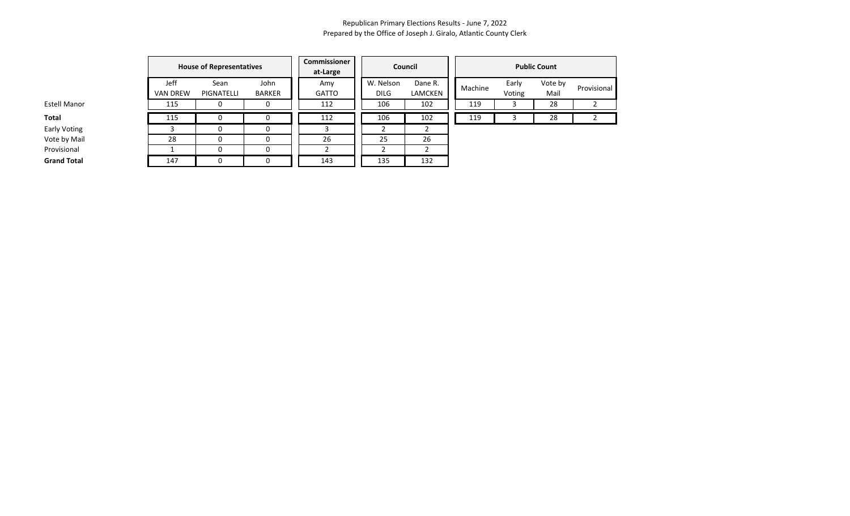|                     |                         | <b>House of Representatives</b> | <b>Commissioner</b><br>at-Large |                     | Council                  | <b>Public Count</b> |         |                 |                 |             |  |
|---------------------|-------------------------|---------------------------------|---------------------------------|---------------------|--------------------------|---------------------|---------|-----------------|-----------------|-------------|--|
|                     | Jeff<br><b>VAN DREW</b> | Sean<br>PIGNATELLI              | John<br>BARKER                  | Amy<br><b>GATTO</b> | W. Nelson<br><b>DILG</b> | Dane R.<br>LAMCKEN  | Machine | Early<br>Voting | Vote by<br>Mail | Provisional |  |
| Estell Manor        | 115                     |                                 |                                 | 112                 | 106                      | 102                 | 119     |                 | 28              |             |  |
| Total               | 115                     |                                 |                                 | 112                 | 106                      | 102                 | 119     |                 | 28              |             |  |
| <b>Early Voting</b> |                         |                                 |                                 |                     |                          |                     |         |                 |                 |             |  |
| Vote by Mail        | 28                      |                                 |                                 | 26                  | 25                       | 26                  |         |                 |                 |             |  |
| Provisional         |                         |                                 |                                 |                     |                          |                     |         |                 |                 |             |  |
| <b>Grand Total</b>  | 147                     |                                 | 0                               | 143                 | 135                      | 132                 |         |                 |                 |             |  |

Early Voting Vote by Mail

**Grand Total**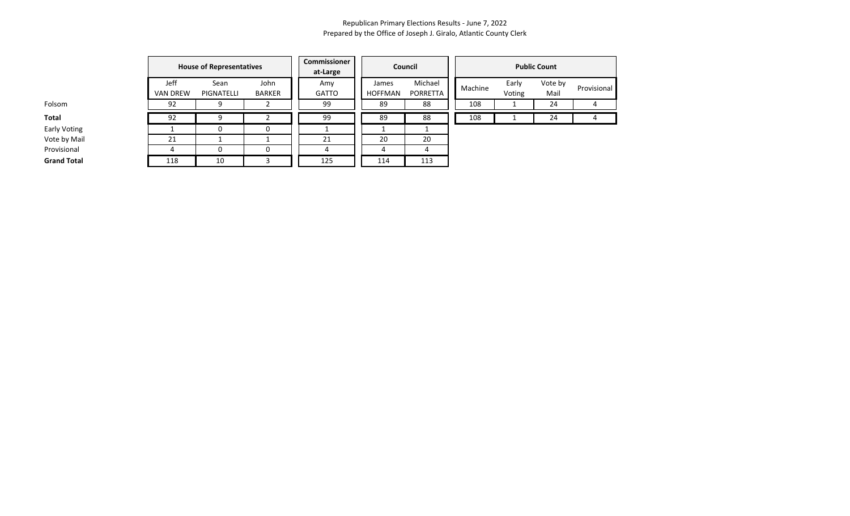Provisional

|                    |                         | <b>House of Representatives</b> |                | Commissioner<br>at-Large |                         | Council             |         |                 | <b>Public Count</b> |        |
|--------------------|-------------------------|---------------------------------|----------------|--------------------------|-------------------------|---------------------|---------|-----------------|---------------------|--------|
|                    | Jeff<br><b>VAN DREW</b> | Sean<br><b>PIGNATELLI</b>       | John<br>BARKER | Amy<br><b>GATTO</b>      | James<br><b>HOFFMAN</b> | Michael<br>PORRETTA | Machine | Early<br>Voting | Vote by<br>Mail     | Provis |
| Folsom             | 92                      | q                               |                | 99                       | 89                      | 88                  | 108     |                 | 24                  |        |
| Total              | 92                      | q                               |                | 99                       | 89                      | 88                  | 108     |                 | 24                  |        |
| Early Voting       |                         | 0                               | 0              |                          |                         |                     |         |                 |                     |        |
| Vote by Mail       | 21                      |                                 |                | 21                       | 20                      | 20                  |         |                 |                     |        |
| Provisional        |                         |                                 | 0              |                          | 4                       | 4                   |         |                 |                     |        |
| <b>Grand Total</b> | 118                     | 10                              |                | 125                      | 114                     | 113                 |         |                 |                     |        |

Early Voting Vote by Mail

**Grand Total**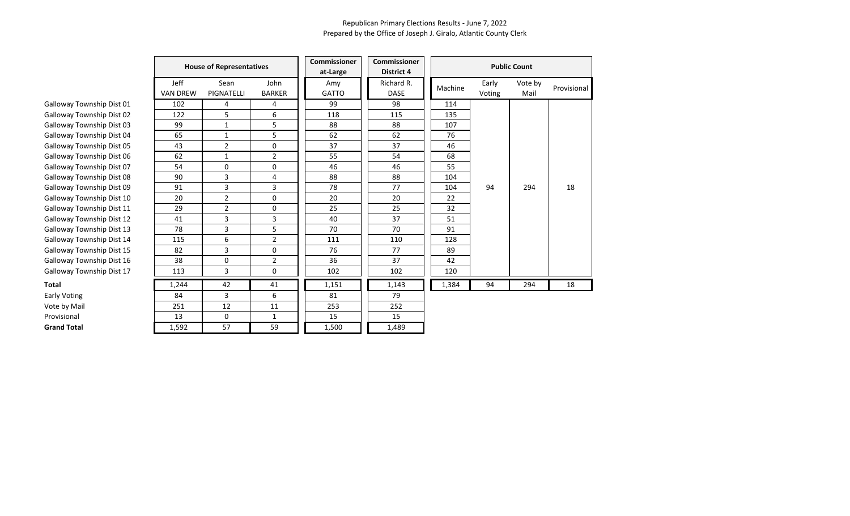|                           | <b>House of Representatives</b><br>Jeff<br>John<br>Sean |                |                | <b>Commissioner</b><br>at-Large | <b>Commissioner</b><br><b>District 4</b> |         | <b>Public Count</b> |                 |             |  |
|---------------------------|---------------------------------------------------------|----------------|----------------|---------------------------------|------------------------------------------|---------|---------------------|-----------------|-------------|--|
|                           | <b>VAN DREW</b>                                         | PIGNATELLI     | <b>BARKER</b>  | Amy<br><b>GATTO</b>             | Richard R.<br><b>DASE</b>                | Machine | Early<br>Voting     | Vote by<br>Mail | Provisional |  |
| Galloway Township Dist 01 | 102                                                     | 4              | 4              | 99                              | 98                                       | 114     |                     |                 |             |  |
| Galloway Township Dist 02 | 122                                                     | 5              | 6              | 118                             | 115                                      | 135     |                     |                 |             |  |
| Galloway Township Dist 03 | 99                                                      | 1              | 5              | 88                              | 88                                       | 107     |                     |                 |             |  |
| Galloway Township Dist 04 | 65                                                      | $\mathbf{1}$   | 5              | 62                              | 62                                       | 76      |                     |                 |             |  |
| Galloway Township Dist 05 | 43                                                      | $\overline{2}$ | 0              | 37                              | 37                                       | 46      |                     |                 |             |  |
| Galloway Township Dist 06 | 62                                                      | $\mathbf{1}$   | $\overline{2}$ | 55                              | 54                                       | 68      |                     |                 |             |  |
| Galloway Township Dist 07 | 54                                                      | 0              | 0              | 46                              | 46                                       | 55      |                     |                 |             |  |
| Galloway Township Dist 08 | 90                                                      | 3              | 4              | 88                              | 88                                       | 104     |                     |                 |             |  |
| Galloway Township Dist 09 | 91                                                      | 3              | 3              | 78                              | 77                                       | 104     | 94                  | 294             | 18          |  |
| Galloway Township Dist 10 | 20                                                      | $\overline{2}$ | 0              | 20                              | 20                                       | 22      |                     |                 |             |  |
| Galloway Township Dist 11 | 29                                                      | 2              | 0              | 25                              | 25                                       | 32      |                     |                 |             |  |
| Galloway Township Dist 12 | 41                                                      | 3              | 3              | 40                              | 37                                       | 51      |                     |                 |             |  |
| Galloway Township Dist 13 | 78                                                      | 3              | 5              | 70                              | 70                                       | 91      |                     |                 |             |  |
| Galloway Township Dist 14 | 115                                                     | 6              | $\overline{2}$ | 111                             | 110                                      | 128     |                     |                 |             |  |
| Galloway Township Dist 15 | 82                                                      | 3              | 0              | 76                              | 77                                       | 89      |                     |                 |             |  |
| Galloway Township Dist 16 | 38                                                      | 0              | $\overline{2}$ | 36                              | 37                                       | 42      |                     |                 |             |  |
| Galloway Township Dist 17 | 113                                                     | 3              | 0              | 102                             | 102                                      | 120     |                     |                 |             |  |
| Total                     | 1,244                                                   | 42             | 41             | 1,151                           | 1,143                                    | 1,384   | 94                  | 294             | 18          |  |
| Early Voting              | 84                                                      | 3              | 6              | 81                              | 79                                       |         |                     |                 |             |  |
| Vote by Mail              | 251                                                     | 12             | 11             | 253                             | 252                                      |         |                     |                 |             |  |
| Provisional               | 13                                                      | 0              | 1              | 15                              | 15                                       |         |                     |                 |             |  |
| <b>Grand Total</b>        | 1,592                                                   | 57             | 59             | 1,500                           | 1,489                                    |         |                     |                 |             |  |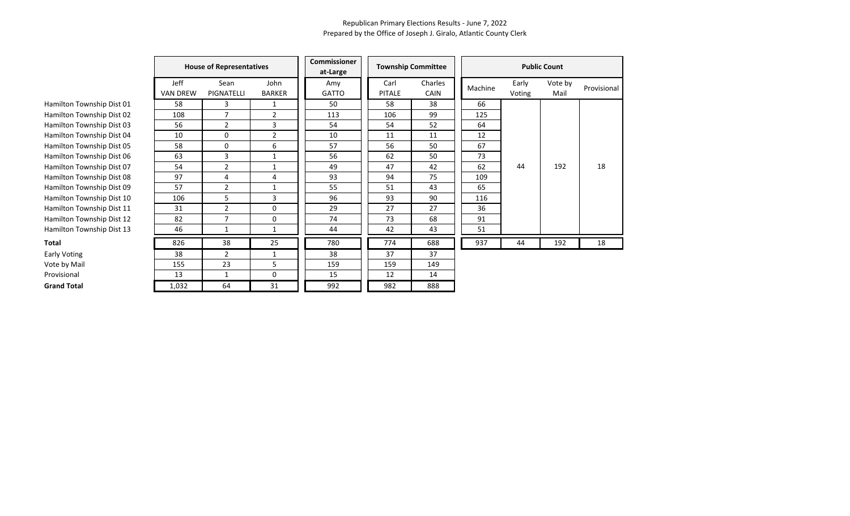|                           |                         | <b>House of Representatives</b> |                       | <b>Commissioner</b><br>at-Large |                       | <b>Township Committee</b> | <b>Public Count</b> |                 |                 |             |  |
|---------------------------|-------------------------|---------------------------------|-----------------------|---------------------------------|-----------------------|---------------------------|---------------------|-----------------|-----------------|-------------|--|
|                           | Jeff<br><b>VAN DREW</b> | Sean<br>PIGNATELLI              | John<br><b>BARKER</b> | Amy<br><b>GATTO</b>             | Carl<br><b>PITALE</b> | Charles<br><b>CAIN</b>    | Machine             | Early<br>Voting | Vote by<br>Mail | Provisional |  |
| Hamilton Township Dist 01 | 58                      | 3                               | 1                     | 50                              | 58                    | 38                        | 66                  |                 |                 |             |  |
| Hamilton Township Dist 02 | 108                     | $\overline{7}$                  | 2                     | 113                             | 106                   | 99                        | 125                 |                 |                 |             |  |
| Hamilton Township Dist 03 | 56                      | $\overline{2}$                  | 3                     | 54                              | 54                    | 52                        | 64                  |                 |                 |             |  |
| Hamilton Township Dist 04 | 10                      | 0                               | $\overline{2}$        | 10                              | 11                    | 11                        | 12                  |                 |                 |             |  |
| Hamilton Township Dist 05 | 58                      | 0                               | 6                     | 57                              | 56                    | 50                        | 67                  |                 |                 |             |  |
| Hamilton Township Dist 06 | 63                      | 3                               | $\mathbf{1}$          | 56                              | 62                    | 50                        | 73                  |                 |                 |             |  |
| Hamilton Township Dist 07 | 54                      | $\overline{2}$                  | 1                     | 49                              | 47                    | 42                        | 62                  | 44              | 192             | 18          |  |
| Hamilton Township Dist 08 | 97                      | 4                               | 4                     | 93                              | 94                    | 75                        | 109                 |                 |                 |             |  |
| Hamilton Township Dist 09 | 57                      | $\overline{2}$                  | $\mathbf{1}$          | 55                              | 51                    | 43                        | 65                  |                 |                 |             |  |
| Hamilton Township Dist 10 | 106                     | 5                               | 3                     | 96                              | 93                    | 90                        | 116                 |                 |                 |             |  |
| Hamilton Township Dist 11 | 31                      | $\overline{2}$                  | 0                     | 29                              | 27                    | 27                        | 36                  |                 |                 |             |  |
| Hamilton Township Dist 12 | 82                      | $\overline{7}$                  | 0                     | 74                              | 73                    | 68                        | 91                  |                 |                 |             |  |
| Hamilton Township Dist 13 | 46                      | 1                               | $\mathbf{1}$          | 44                              | 42                    | 43                        | 51                  |                 |                 |             |  |
| Total                     | 826                     | 38                              | 25                    | 780                             | 774                   | 688                       | 937                 | 44              | 192             | 18          |  |
| <b>Early Voting</b>       | 38                      | $\overline{2}$                  | 1                     | 38                              | 37                    | 37                        |                     |                 |                 |             |  |
| Vote by Mail              | 155                     | 23                              | 5                     | 159                             | 159                   | 149                       |                     |                 |                 |             |  |
| Provisional               | 13                      | 1                               | 0                     | 15                              | 12                    | 14                        |                     |                 |                 |             |  |
| <b>Grand Total</b>        | 1,032                   | 64                              | 31                    | 992                             | 982                   | 888                       |                     |                 |                 |             |  |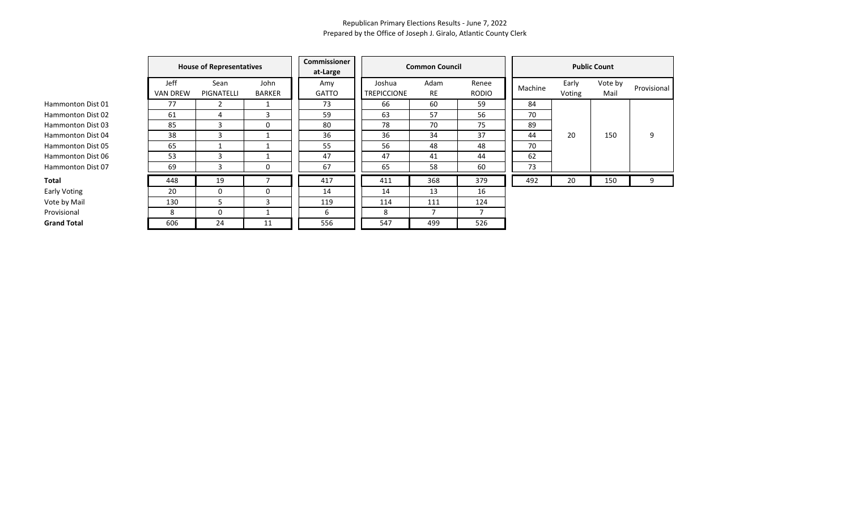|                    |                                | <b>House of Representatives</b> |                       |                     |                              | <b>Common Council</b> |                       |         |                 | <b>Public Count</b> |             |
|--------------------|--------------------------------|---------------------------------|-----------------------|---------------------|------------------------------|-----------------------|-----------------------|---------|-----------------|---------------------|-------------|
|                    | <b>Jeff</b><br><b>VAN DREW</b> | Sean<br>PIGNATELLI              | John<br><b>BARKER</b> | Amy<br><b>GATTO</b> | Joshua<br><b>TREPICCIONE</b> | Adam<br>RE            | Renee<br><b>RODIO</b> | Machine | Early<br>Voting | Vote by<br>Mail     | Provisional |
| Hammonton Dist 01  | 77                             |                                 |                       | 73                  | 66                           | 60                    | 59                    | 84      |                 |                     |             |
| Hammonton Dist 02  | 61                             | 4                               | 3                     | 59                  | 63                           | 57                    | 56                    | 70      |                 |                     |             |
| Hammonton Dist 03  | 85                             | 3                               | 0                     | 80                  | 78                           | 70                    | 75                    | 89      |                 |                     |             |
| Hammonton Dist 04  | 38                             | 3                               |                       | 36                  | 36                           | 34                    | 37                    | 44      | 20              | 150                 | 9           |
| Hammonton Dist 05  | 65                             |                                 |                       | 55                  | 56                           | 48                    | 48                    | 70      |                 |                     |             |
| Hammonton Dist 06  | 53                             | 3                               |                       | 47                  | 47                           | 41                    | 44                    | 62      |                 |                     |             |
| Hammonton Dist 07  | 69                             | 3                               | 0                     | 67                  | 65                           | 58                    | 60                    | 73      |                 |                     |             |
| Total              | 448                            | 19                              |                       | 417                 | 411                          | 368                   | 379                   | 492     | 20              | 150                 | 9           |
| Early Voting       | 20                             | 0                               | 0                     | 14                  | 14                           | 13                    | 16                    |         |                 |                     |             |
| Vote by Mail       | 130                            | 5                               | 3                     | 119                 | 114                          | 111                   | 124                   |         |                 |                     |             |
| Provisional        | 8                              | 0                               |                       | 6                   | 8                            |                       |                       |         |                 |                     |             |
| <b>Grand Total</b> | 606                            | 24                              | 11                    | 556                 | 547                          | 499                   | 526                   |         |                 |                     |             |

Hammonton Dist Hammonton Dist Hammonton Dist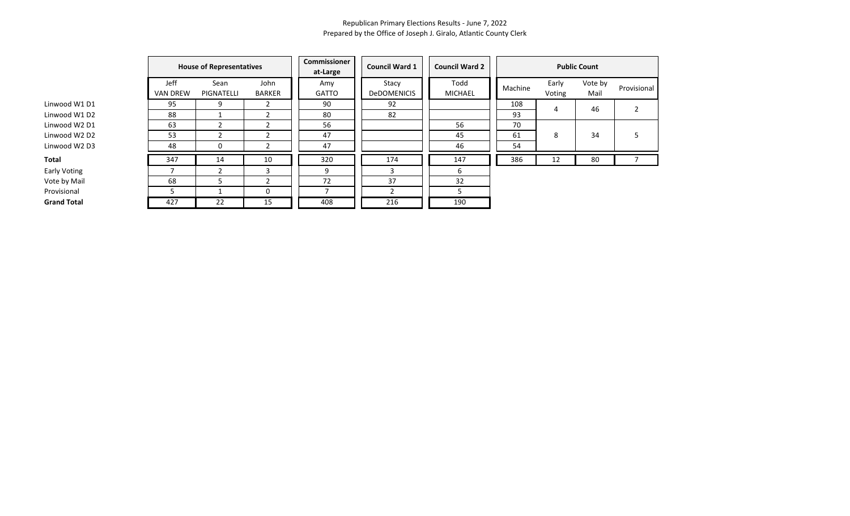|                    | <b>House of Representatives</b> |                    |                       | Commissioner<br>at-Large | <b>Council Ward 1</b>       | <b>Council Ward 2</b> |         |                 | <b>Public Count</b> |                |
|--------------------|---------------------------------|--------------------|-----------------------|--------------------------|-----------------------------|-----------------------|---------|-----------------|---------------------|----------------|
|                    | <b>Jeff</b><br><b>VAN DREW</b>  | Sean<br>PIGNATELLI | John<br><b>BARKER</b> | Amy<br><b>GATTO</b>      | Stacy<br><b>DeDOMENICIS</b> | Todd<br>MICHAEL       | Machine | Early<br>Voting | Vote by<br>Mail     | Provisional    |
| Linwood W1 D1      | 95                              |                    |                       | 90                       | 92                          |                       | 108     | 4               | 46                  | $\overline{2}$ |
| Linwood W1 D2      | 88                              |                    |                       | 80                       | 82                          |                       | 93      |                 |                     |                |
| Linwood W2 D1      | 63                              |                    |                       | 56                       |                             | 56                    | 70      |                 |                     |                |
| Linwood W2 D2      | 53                              |                    |                       | 47                       |                             | 45                    | 61      | 8               | 34                  | 5              |
| Linwood W2 D3      | 48                              |                    |                       | 47                       |                             | 46                    | 54      |                 |                     |                |
| Total              | 347                             | 14                 | 10                    | 320                      | 174                         | 147                   | 386     | 12              | 80                  |                |
| Early Voting       |                                 |                    | ς                     | 9                        | 3                           | 6                     |         |                 |                     |                |
| Vote by Mail       | 68                              |                    |                       | 72                       | 37                          | 32                    |         |                 |                     |                |
| Provisional        | 5                               |                    | 0                     |                          |                             |                       |         |                 |                     |                |
| <b>Grand Total</b> | 427                             | 22                 | 15                    | 408                      | 216                         | 190                   |         |                 |                     |                |

Linwood W1 D2 Linwood W2 D1 Linwood W2 D2 Linwood W2 D3

Vote by Mail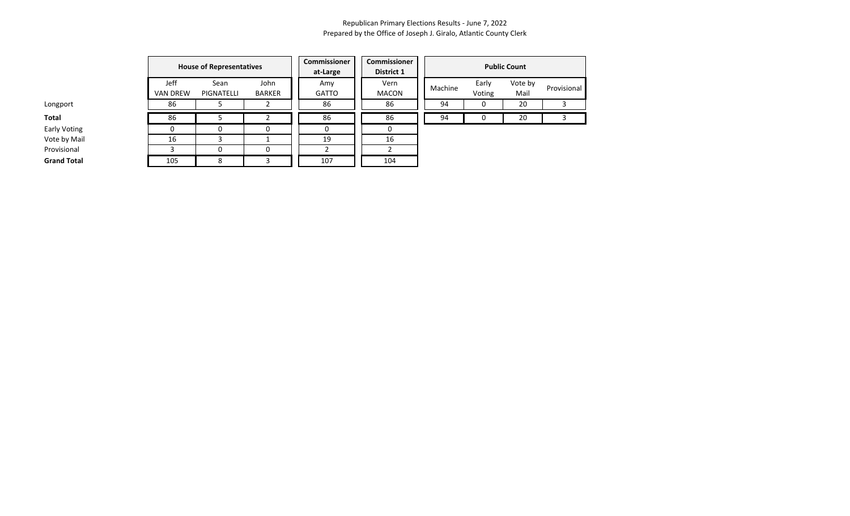|                    |                                | <b>House of Representatives</b> |                | Commissioner<br>at-Large | Commissioner<br>District 1 |         |                 | <b>Public Count</b> |             |
|--------------------|--------------------------------|---------------------------------|----------------|--------------------------|----------------------------|---------|-----------------|---------------------|-------------|
|                    | <b>Jeff</b><br><b>VAN DREW</b> | Sean<br>PIGNATELLI              | John<br>BARKER | Amy<br><b>GATTO</b>      | Vern<br>MACON              | Machine | Early<br>Voting | Vote by<br>Mail     | Provisional |
| Longport           | 86                             |                                 |                | 86                       | 86                         | 94      | υ               | 20                  |             |
| Total              | 86                             |                                 |                | 86                       | 86                         | 94      |                 | 20                  |             |
| Early Voting       |                                |                                 |                |                          |                            |         |                 |                     |             |
| Vote by Mail       | 16                             |                                 |                | 19                       | 16                         |         |                 |                     |             |
| Provisional        |                                | $\Omega$                        | O              |                          |                            |         |                 |                     |             |
| <b>Grand Total</b> | 105                            | 8                               |                | 107                      | 104                        |         |                 |                     |             |

Early Voting

Vote by Mail **Provisional** 

**Grand Total**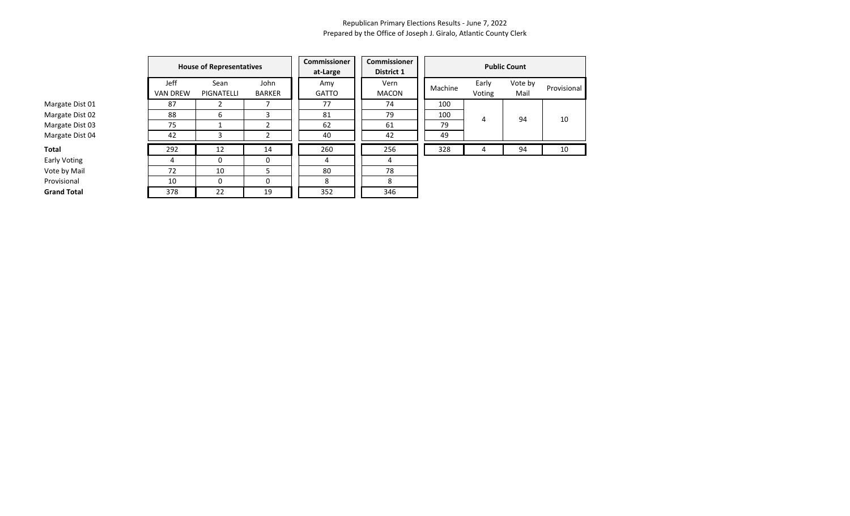|                    |                         | <b>House of Representatives</b> |                       | <b>Commissioner</b><br>at-Large | <b>Commissioner</b><br>District 1 |         |                 | <b>Public Count</b> |             |  |
|--------------------|-------------------------|---------------------------------|-----------------------|---------------------------------|-----------------------------------|---------|-----------------|---------------------|-------------|--|
|                    | Jeff<br><b>VAN DREW</b> | Sean<br>PIGNATELLI              | John<br><b>BARKER</b> | Amy<br><b>GATTO</b>             | Vern<br><b>MACON</b>              | Machine | Early<br>Voting | Vote by<br>Mail     | Provisional |  |
| Margate Dist 01    | 87                      |                                 |                       | 77                              | 74                                | 100     |                 |                     |             |  |
| Margate Dist 02    | 88                      | 6                               | 3                     | 81                              | 79                                | 100     | 4               | 94                  | 10          |  |
| Margate Dist 03    | 75                      |                                 |                       | 62                              | 61                                | 79      |                 |                     |             |  |
| Margate Dist 04    | 42                      |                                 |                       | 40                              | 42                                | 49      |                 |                     |             |  |
| Total              | 292                     | 12                              | 14                    | 260                             | 256                               | 328     | 4               | 94                  | 10          |  |
| Early Voting       | 4                       | 0                               | 0                     | 4                               | 4                                 |         |                 |                     |             |  |
| Vote by Mail       | 72                      | 10                              | 5                     | 80                              | 78                                |         |                 |                     |             |  |
| Provisional        | 10                      | $\Omega$                        | 0                     | 8                               | 8                                 |         |                 |                     |             |  |
| <b>Grand Total</b> | 378                     | 22                              | 19                    | 352                             | 346                               |         |                 |                     |             |  |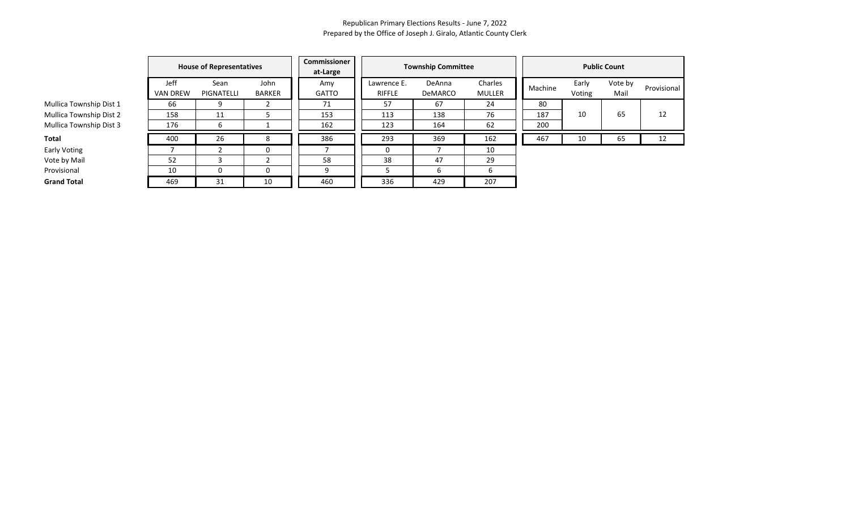|                         |                         | <b>House of Representatives</b> |                       | Commissioner<br>at-Large |                       | <b>Township Committee</b> |                   | <b>Public Count</b> |                 |                 |             |  |
|-------------------------|-------------------------|---------------------------------|-----------------------|--------------------------|-----------------------|---------------------------|-------------------|---------------------|-----------------|-----------------|-------------|--|
|                         | Jeff<br><b>VAN DREW</b> | Sean<br>PIGNATELLI              | John<br><b>BARKER</b> | Amy<br><b>GATTO</b>      | Lawrence E.<br>RIFFLE | DeAnna<br><b>DeMARCO</b>  | Charles<br>MULLER | Machine             | Early<br>Voting | Vote by<br>Mail | Provisional |  |
| Mullica Township Dist 1 | 66                      |                                 |                       | 71                       | 57                    | 67                        | 24                | 80                  |                 |                 |             |  |
| Mullica Township Dist 2 | 158                     | 11                              |                       | 153                      | 113                   | 138                       | 76                | 187                 | 10              | 65              | 12          |  |
| Mullica Township Dist 3 | 176                     |                                 |                       | 162                      | 123                   | 164                       | 62                | 200                 |                 |                 |             |  |
| Total                   | 400                     | 26                              | 8                     | 386                      | 293                   | 369                       | 162               | 467                 | 10              | 65              | 12          |  |
| Early Voting            |                         |                                 | 0                     |                          |                       |                           | 10                |                     |                 |                 |             |  |
| Vote by Mail            | 52                      |                                 |                       | 58                       | 38                    | 47                        | 29                |                     |                 |                 |             |  |
| Provisional             | 10                      |                                 | O                     | 9                        |                       | b                         | b                 |                     |                 |                 |             |  |
| <b>Grand Total</b>      | 469                     | 31                              | 10                    | 460                      | 336                   | 429                       | 207               |                     |                 |                 |             |  |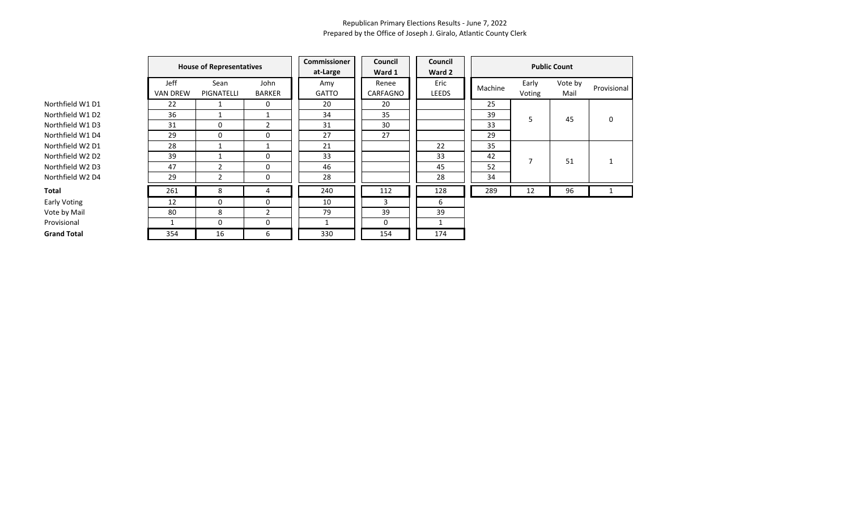|                     |                 | <b>House of Representatives</b><br>Jeff<br>Sean<br>John |                | <b>Commissioner</b><br>at-Large | Council<br>Ward 1 | Council<br>Ward 2 |         |                 | <b>Public Count</b> |             |
|---------------------|-----------------|---------------------------------------------------------|----------------|---------------------------------|-------------------|-------------------|---------|-----------------|---------------------|-------------|
|                     | <b>VAN DREW</b> | <b>PIGNATELLI</b>                                       | <b>BARKER</b>  | Amy<br>GATTO                    | Renee<br>CARFAGNO | Eric<br>LEEDS     | Machine | Early<br>Voting | Vote by<br>Mail     | Provisional |
| Northfield W1 D1    | 22              |                                                         | 0              | 20                              | 20                |                   | 25      |                 |                     |             |
| Northfield W1 D2    | 36              |                                                         |                | 34                              | 35                |                   | 39      | 5               | 45                  | 0           |
| Northfield W1 D3    | 31              | 0                                                       | $\overline{2}$ | 31                              | 30                |                   | 33      |                 |                     |             |
| Northfield W1 D4    | 29              | 0                                                       | 0              | 27                              | 27                |                   | 29      |                 |                     |             |
| Northfield W2 D1    | 28              |                                                         |                | 21                              |                   | 22                | 35      |                 |                     |             |
| Northfield W2 D2    | 39              |                                                         | 0              | 33                              |                   | 33                | 42      | 7               | 51                  | 1           |
| Northfield W2 D3    | 47              | $\mathcal{P}$                                           | 0              | 46                              |                   | 45                | 52      |                 |                     |             |
| Northfield W2 D4    | 29              | 2                                                       | 0              | 28                              |                   | 28                | 34      |                 |                     |             |
| Total               | 261             | 8                                                       | 4              | 240                             | 112               | 128               | 289     | 12              | 96                  | 1           |
| <b>Early Voting</b> | 12              | 0                                                       | 0              | 10                              | 3                 | 6                 |         |                 |                     |             |
| Vote by Mail        | 80              | 8                                                       | $\overline{2}$ | 79                              | 39                | 39                |         |                 |                     |             |
| Provisional         |                 | 0                                                       | $\mathbf 0$    |                                 | $\mathbf{0}$      |                   |         |                 |                     |             |
| <b>Grand Total</b>  | 354             | 16                                                      | 6              | 330                             | 154               | 174               |         |                 |                     |             |

Early Voting Vote by Mail<br>Provisional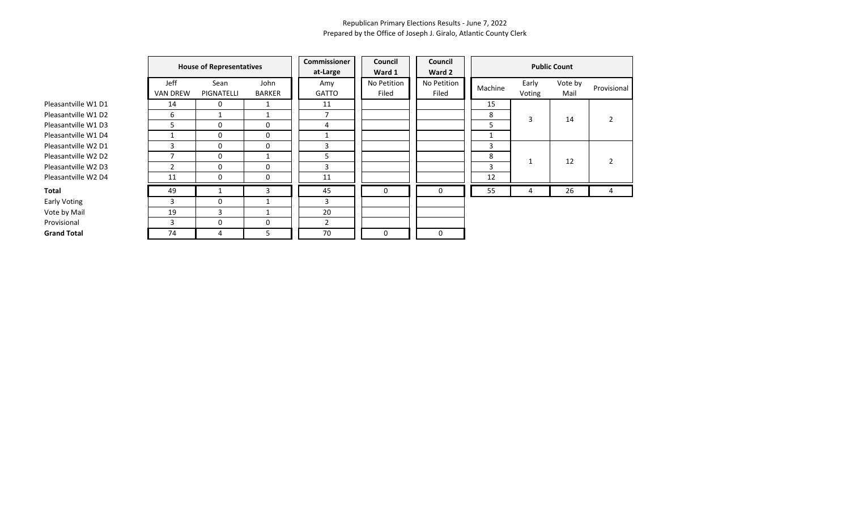|                     | <b>House of Representatives</b> |                    |                       | Commissioner<br>at-Large | Council<br>Ward 1    | Council<br>Ward 2    | <b>Public Count</b> |                 |                 |             |  |
|---------------------|---------------------------------|--------------------|-----------------------|--------------------------|----------------------|----------------------|---------------------|-----------------|-----------------|-------------|--|
|                     | Jeff<br><b>VAN DREW</b>         | Sean<br>PIGNATELLI | John<br><b>BARKER</b> | Amy<br><b>GATTO</b>      | No Petition<br>Filed | No Petition<br>Filed | Machine             | Early<br>Voting | Vote by<br>Mail | Provisional |  |
| Pleasantville W1 D1 | 14                              | 0                  | 1                     | 11                       |                      |                      | 15                  |                 |                 |             |  |
| Pleasantville W1 D2 | 6                               |                    |                       | 7                        |                      |                      | 8                   | 3               | 14              |             |  |
| Pleasantville W1 D3 | 5                               | 0                  | 0                     | 4                        |                      |                      | 5                   |                 |                 |             |  |
| Pleasantville W1 D4 |                                 | 0                  | 0                     |                          |                      |                      | 1                   |                 |                 |             |  |
| Pleasantville W2 D1 | 3                               | 0                  | 0                     | 3                        |                      |                      | 3                   |                 |                 |             |  |
| Pleasantville W2 D2 | ⇁                               | 0                  |                       | 5                        |                      |                      | 8                   | 1               | 12              |             |  |
| Pleasantville W2 D3 | 2                               | 0                  | 0                     | 3                        |                      |                      | 3                   |                 |                 |             |  |
| Pleasantville W2 D4 | 11                              | 0                  | 0                     | 11                       |                      |                      | 12                  |                 |                 |             |  |
| Total               | 49                              |                    | 3                     | 45                       | 0                    | 0                    | 55                  | 4               | 26              | 4           |  |
| <b>Early Voting</b> | 3                               | 0                  |                       | 3                        |                      |                      |                     |                 |                 |             |  |
| Vote by Mail        | 19                              | 3                  | 1                     | 20                       |                      |                      |                     |                 |                 |             |  |
| Provisional         | 3                               | 0                  | 0                     | $\overline{2}$           |                      |                      |                     |                 |                 |             |  |
| <b>Grand Total</b>  | 74                              | 4                  | 5.                    | 70                       | 0                    | 0                    |                     |                 |                 |             |  |

Early Voting Vote by Ma Provisional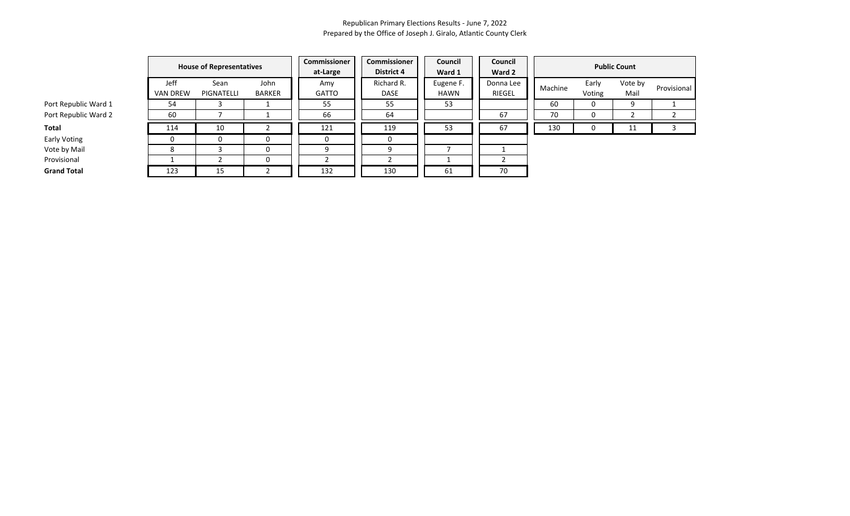|                      |                         | <b>House of Representatives</b> |                       | Commissioner<br>at-Large | Commissioner<br><b>District 4</b> | Council<br>Ward 1        | Council<br>Ward 2   |         |                 | <b>Public Count</b> |             |
|----------------------|-------------------------|---------------------------------|-----------------------|--------------------------|-----------------------------------|--------------------------|---------------------|---------|-----------------|---------------------|-------------|
|                      | Jeff<br><b>VAN DREW</b> | Sean<br>PIGNATELLI              | John<br><b>BARKER</b> | Amy<br><b>GATTO</b>      | Richard R.<br>DASE                | Eugene F.<br><b>HAWN</b> | Donna Lee<br>RIEGEL | Machine | Early<br>Voting | Vote by<br>Mail     | Provisional |
| Port Republic Ward 1 | 54                      |                                 |                       | 55                       | 55                                | 53                       |                     | 60      | 0               | 9                   |             |
| Port Republic Ward 2 | 60                      |                                 |                       | 66                       | 64                                |                          | 67                  | 70      | 0               |                     |             |
| Total                | 114                     | 10                              |                       | 121                      | 119                               | 53                       | 67                  | 130     | U               | 11                  |             |
| Early Voting         |                         |                                 | 0                     | 0                        | $\Omega$                          |                          |                     |         |                 |                     |             |
| Vote by Mail         |                         |                                 | 0                     | a                        |                                   |                          |                     |         |                 |                     |             |
| Provisional          |                         |                                 | 0                     |                          |                                   |                          |                     |         |                 |                     |             |
| <b>Grand Total</b>   | 123                     | 15                              |                       | 132                      | 130                               | 61                       | 70                  |         |                 |                     |             |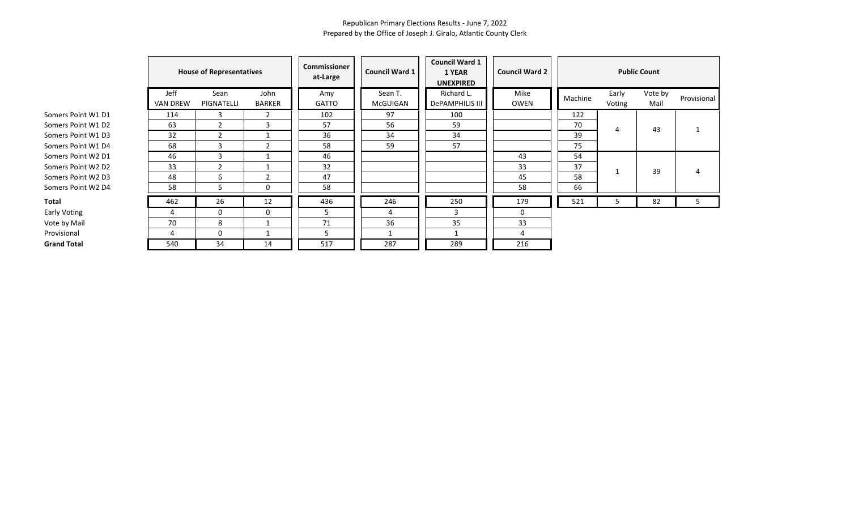|                    |                         | <b>House of Representatives</b> |                       | <b>Commissioner</b><br>at-Large | <b>Council Ward 1</b> | <b>Council Ward 1</b><br>1 YEAR<br><b>UNEXPIRED</b> | <b>Council Ward 2</b> |         |                 | <b>Public Count</b> |             |
|--------------------|-------------------------|---------------------------------|-----------------------|---------------------------------|-----------------------|-----------------------------------------------------|-----------------------|---------|-----------------|---------------------|-------------|
|                    | Jeff<br><b>VAN DREW</b> | Sean<br>PIGNATELLI              | John<br><b>BARKER</b> | Amy<br><b>GATTO</b>             | Sean T.<br>McGUIGAN   | Richard L.<br>DePAMPHILIS III                       | Mike<br>OWEN          | Machine | Early<br>Voting | Vote by<br>Mail     | Provisional |
| Somers Point W1 D1 | 114                     | 3                               | 2                     | 102                             | 97                    | 100                                                 |                       | 122     |                 |                     |             |
| Somers Point W1 D2 | 63                      | $\overline{2}$                  | 3                     | 57                              | 56                    | 59                                                  |                       | 70      | 4               | 43                  |             |
| Somers Point W1 D3 | 32                      | $\overline{2}$                  |                       | 36                              | 34                    | 34                                                  |                       | 39      |                 |                     |             |
| Somers Point W1 D4 | 68                      | 3                               | $\overline{2}$        | 58                              | 59                    | 57                                                  |                       | 75      |                 |                     |             |
| Somers Point W2 D1 | 46                      | 3                               |                       | 46                              |                       |                                                     | 43                    | 54      |                 |                     |             |
| Somers Point W2 D2 | 33                      | $\overline{2}$                  |                       | 32                              |                       |                                                     | 33                    | 37      |                 | 39                  |             |
| Somers Point W2 D3 | 48                      | 6                               | $\overline{2}$        | 47                              |                       |                                                     | 45                    | 58      |                 |                     |             |
| Somers Point W2 D4 | 58                      | 5.                              | 0                     | 58                              |                       |                                                     | 58                    | 66      |                 |                     |             |
| Total              | 462                     | 26                              | 12                    | 436                             | 246                   | 250                                                 | 179                   | 521     | 5               | 82                  | 5           |
| Early Voting       | 4                       | 0                               | 0                     | 5                               | 4                     | 3                                                   | 0                     |         |                 |                     |             |
| Vote by Mail       | 70                      | 8                               |                       | 71                              | 36                    | 35                                                  | 33                    |         |                 |                     |             |
| Provisional        | 4                       | $\Omega$                        |                       | כ                               |                       |                                                     |                       |         |                 |                     |             |
| <b>Grand Total</b> | 540                     | 34                              | 14                    | 517                             | 287                   | 289                                                 | 216                   |         |                 |                     |             |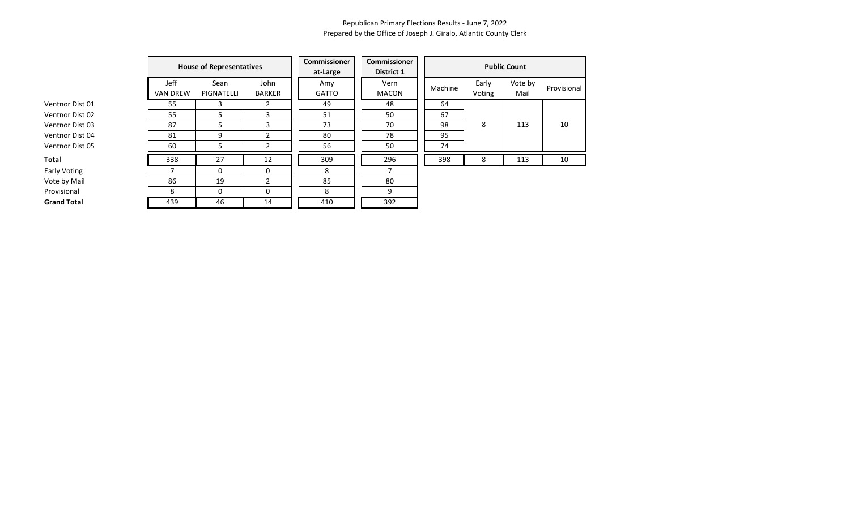| Ventnor Dist 01 |
|-----------------|
| Ventnor Dist 02 |
| Ventnor Dist 03 |
| Ventnor Dist 04 |
| Ventnor Dist 05 |
| Total           |

| ,<br>×<br>. .<br>۰.<br>×<br>. . |  |
|---------------------------------|--|
|---------------------------------|--|

|                     |                         | <b>House of Representatives</b> |                                              | Commissioner<br>at-Large | <b>Commissioner</b><br>District 1 | <b>Public Count</b> |                 |                 |             |  |
|---------------------|-------------------------|---------------------------------|----------------------------------------------|--------------------------|-----------------------------------|---------------------|-----------------|-----------------|-------------|--|
|                     | Jeff<br><b>VAN DREW</b> | Sean<br>PIGNATELLI              | John<br>Amy<br><b>BARKER</b><br><b>GATTO</b> |                          | Vern<br>MACON                     | Machine             | Early<br>Voting | Vote by<br>Mail | Provisional |  |
| Ventnor Dist 01     | 55                      | 3                               | 2                                            | 49                       | 48                                | 64                  |                 |                 |             |  |
| Ventnor Dist 02     | 55                      |                                 | 3                                            | 51                       | 50                                | 67                  |                 |                 |             |  |
| Ventnor Dist 03     | 87                      | 5                               | 3                                            | 73                       | 70                                | 98                  | 8               | 113             | 10          |  |
| Ventnor Dist 04     | 81                      | 9                               |                                              | 80                       | 78                                | 95                  |                 |                 |             |  |
| Ventnor Dist 05     | 60                      | 5                               |                                              | 56                       | 50                                | 74                  |                 |                 |             |  |
| Total               | 338                     | 27                              | 12                                           | 309                      | 296                               | 398                 | 8               | 113             | 10          |  |
| <b>Early Voting</b> | 7                       | $\Omega$                        | $\Omega$                                     | 8                        | 7                                 |                     |                 |                 |             |  |
| Vote by Mail        | 86                      | 19                              | $\mathcal{P}$                                | 85                       | 80                                |                     |                 |                 |             |  |
| Provisional         | 8                       | $\Omega$                        | 0                                            | 8                        | 9                                 |                     |                 |                 |             |  |
| <b>Grand Total</b>  | 439                     | 46                              | 14                                           | 410                      | 392                               |                     |                 |                 |             |  |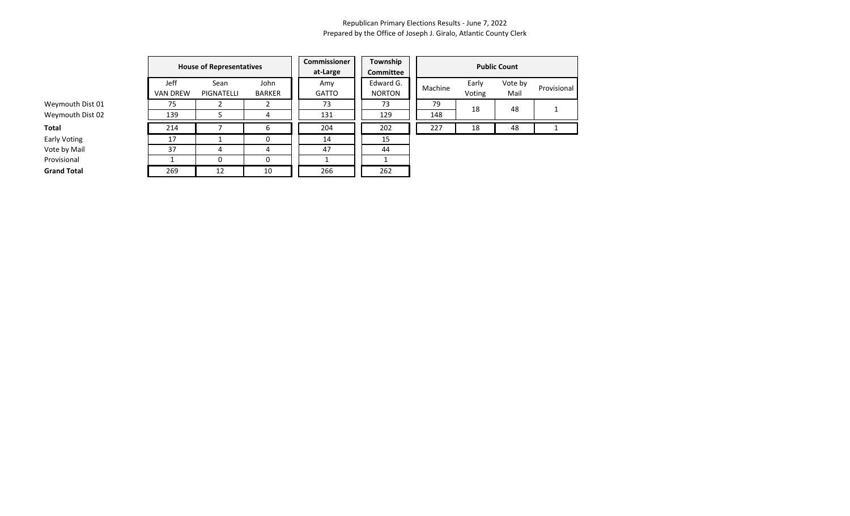|                    |                         | <b>House of Representatives</b> |                       | Commissioner<br>at-Large | Township<br>Committee      | <b>Public Count</b> |                 |                 |             |  |  |
|--------------------|-------------------------|---------------------------------|-----------------------|--------------------------|----------------------------|---------------------|-----------------|-----------------|-------------|--|--|
|                    | Jeff<br><b>VAN DREW</b> | Sean<br>PIGNATELLI              | John<br><b>BARKER</b> | Amy<br>GATTO             | Edward G.<br><b>NORTON</b> | Machine             | Early<br>Voting | Vote by<br>Mail | Provisional |  |  |
| Weymouth Dist 01   | 75                      |                                 |                       | 73                       | 73                         | 79                  | 18              | 48              |             |  |  |
| Weymouth Dist 02   | 139                     |                                 |                       | 131                      | 129                        | 148                 |                 |                 |             |  |  |
| <b>Total</b>       | 214                     |                                 | ь                     | 204                      | 202                        | 227                 | 18              | 48              |             |  |  |
| Early Voting       | 17                      |                                 | 0                     | 14                       | 15                         |                     |                 |                 |             |  |  |
| Vote by Mail       | 37                      |                                 | 4                     | 47                       | 44                         |                     |                 |                 |             |  |  |
| Provisional        |                         |                                 | 0                     |                          |                            |                     |                 |                 |             |  |  |
| <b>Grand Total</b> | 269                     | 12                              | 10                    | 266                      | 262                        |                     |                 |                 |             |  |  |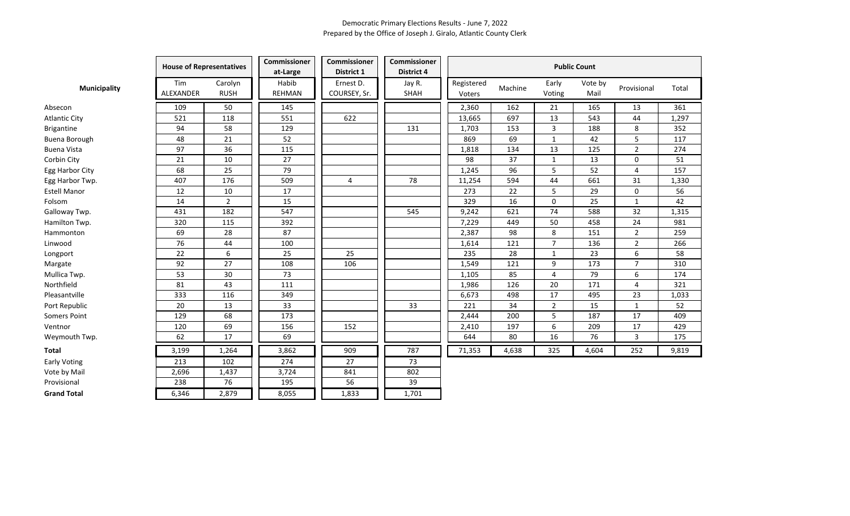|                      | <b>House of Representatives</b> |                        | Commissioner<br>at-Large | Commissioner<br>District 1 | <b>Commissioner</b><br>District 4 |                      | <b>Public Count</b> |                 |                 |                |       |  |
|----------------------|---------------------------------|------------------------|--------------------------|----------------------------|-----------------------------------|----------------------|---------------------|-----------------|-----------------|----------------|-------|--|
| <b>Municipality</b>  | Tim<br><b>ALEXANDER</b>         | Carolyn<br><b>RUSH</b> | Habib<br><b>REHMAN</b>   | Ernest D.<br>COURSEY, Sr.  | Jay R.<br>SHAH                    | Registered<br>Voters | Machine             | Early<br>Voting | Vote by<br>Mail | Provisional    | Total |  |
| Absecon              | 109                             | 50                     | 145                      |                            |                                   | 2,360                | 162                 | 21              | 165             | 13             | 361   |  |
| <b>Atlantic City</b> | 521                             | 118                    | 551                      | 622                        |                                   | 13,665               | 697                 | 13              | 543             | 44             | 1,297 |  |
| Brigantine           | 94                              | 58                     | 129                      |                            | 131                               | 1,703                | 153                 | 3               | 188             | 8              | 352   |  |
| Buena Borough        | 48                              | 21                     | 52                       |                            |                                   | 869                  | 69                  | 1               | 42              | 5              | 117   |  |
| <b>Buena Vista</b>   | 97                              | 36                     | 115                      |                            |                                   | 1,818                | 134                 | 13              | 125             | $\overline{2}$ | 274   |  |
| Corbin City          | 21                              | 10                     | 27                       |                            |                                   | 98                   | 37                  | 1               | 13              | 0              | 51    |  |
| Egg Harbor City      | 68                              | 25                     | 79                       |                            |                                   | 1,245                | 96                  | 5               | 52              | 4              | 157   |  |
| Egg Harbor Twp.      | 407                             | 176                    | 509                      | $\overline{4}$             | 78                                | 11,254               | 594                 | 44              | 661             | 31             | 1,330 |  |
| <b>Estell Manor</b>  | 12                              | 10                     | 17                       |                            |                                   | 273                  | 22                  | 5               | 29              | 0              | 56    |  |
| Folsom               | 14                              | $\overline{2}$         | 15                       |                            |                                   | 329                  | 16                  | $\Omega$        | 25              | $\mathbf{1}$   | 42    |  |
| Galloway Twp.        | 431                             | 182                    | 547                      |                            | 545                               | 9,242                | 621                 | 74              | 588             | 32             | 1,315 |  |
| Hamilton Twp.        | 320                             | 115                    | 392                      |                            |                                   | 7,229                | 449                 | 50              | 458             | 24             | 981   |  |
| Hammonton            | 69                              | 28                     | 87                       |                            |                                   | 2,387                | 98                  | 8               | 151             | $\overline{2}$ | 259   |  |
| Linwood              | 76                              | 44                     | 100                      |                            |                                   | 1,614                | 121                 | $\overline{7}$  | 136             | $\overline{2}$ | 266   |  |
| Longport             | 22                              | 6                      | 25                       | 25                         |                                   | 235                  | 28                  | 1               | 23              | 6              | 58    |  |
| Margate              | 92                              | 27                     | 108                      | 106                        |                                   | 1,549                | 121                 | 9               | 173             | $\overline{7}$ | 310   |  |
| Mullica Twp.         | 53                              | 30                     | 73                       |                            |                                   | 1,105                | 85                  | 4               | 79              | 6              | 174   |  |
| Northfield           | 81                              | 43                     | 111                      |                            |                                   | 1,986                | 126                 | 20              | 171             | $\overline{4}$ | 321   |  |
| Pleasantville        | 333                             | 116                    | 349                      |                            |                                   | 6,673                | 498                 | 17              | 495             | 23             | 1,033 |  |
| Port Republic        | 20                              | 13                     | 33                       |                            | 33                                | 221                  | 34                  | $\overline{2}$  | 15              | $\mathbf{1}$   | 52    |  |
| <b>Somers Point</b>  | 129                             | 68                     | 173                      |                            |                                   | 2,444                | 200                 | 5               | 187             | 17             | 409   |  |
| Ventnor              | 120                             | 69                     | 156                      | 152                        |                                   | 2,410                | 197                 | 6               | 209             | 17             | 429   |  |
| Weymouth Twp.        | 62                              | 17                     | 69                       |                            |                                   | 644                  | 80                  | 16              | 76              | $\mathbf{3}$   | 175   |  |
| <b>Total</b>         | 3,199                           | 1,264                  | 3,862                    | 909                        | 787                               | 71,353               | 4,638               | 325             | 4,604           | 252            | 9,819 |  |
| <b>Early Voting</b>  | 213                             | 102                    | 274                      | 27                         | 73                                |                      |                     |                 |                 |                |       |  |
| Vote by Mail         | 2,696                           | 1,437                  | 3,724                    | 841                        | 802                               |                      |                     |                 |                 |                |       |  |
| Provisional          | 238                             | 76                     | 195                      | 56                         | 39                                |                      |                     |                 |                 |                |       |  |
| <b>Grand Total</b>   | 6,346                           | 2,879                  | 8,055                    | 1,833                      | 1,701                             |                      |                     |                 |                 |                |       |  |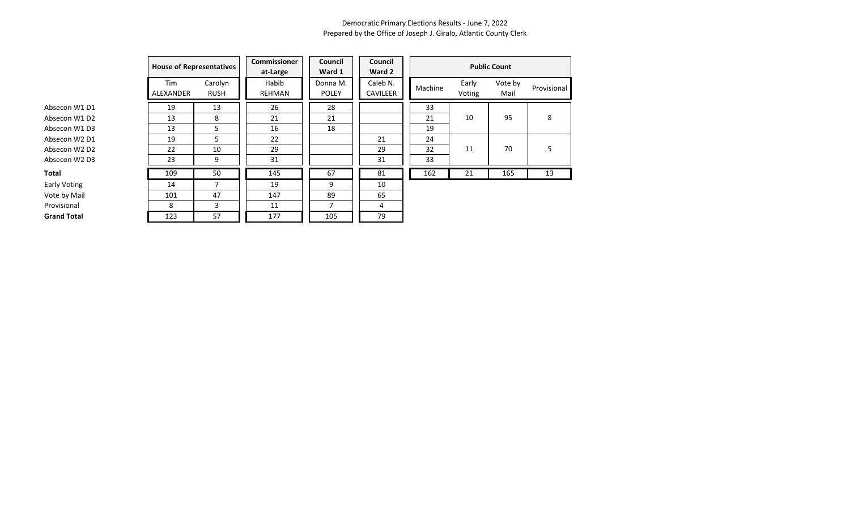|                     | <b>House of Representatives</b> |                        | <b>Commissioner</b><br>at-Large | Council<br>Ward 1        | Council<br>Ward 2    |         |                 | <b>Public Count</b> |             |
|---------------------|---------------------------------|------------------------|---------------------------------|--------------------------|----------------------|---------|-----------------|---------------------|-------------|
|                     | Tim<br>ALEXANDER                | Carolyn<br><b>RUSH</b> | Habib<br><b>REHMAN</b>          | Donna M.<br><b>POLEY</b> | Caleb N.<br>CAVILEER | Machine | Early<br>Voting | Vote by<br>Mail     | Provisional |
| Absecon W1 D1       | 19                              | 13                     | 26                              | 28                       |                      | 33      |                 |                     |             |
| Absecon W1 D2       | 13                              | 8                      | 21                              | 21                       |                      | 21      | 10              | 95                  | 8           |
| Absecon W1 D3       | 13                              | 5                      | 16                              | 18                       |                      | 19      |                 |                     |             |
| Absecon W2 D1       | 19                              | 5                      | 22                              |                          | 21                   | 24      |                 |                     |             |
| Absecon W2 D2       | 22                              | 10                     | 29                              |                          | 29                   | 32      | 11              | 70                  | 5           |
| Absecon W2 D3       | 23                              | 9                      | 31                              |                          | 31                   | 33      |                 |                     |             |
| <b>Total</b>        | 109                             | 50                     | 145                             | 67                       | 81                   | 162     | 21              | 165                 | 13          |
| <b>Early Voting</b> | 14                              | $\overline{7}$         | 19                              | 9                        | 10                   |         |                 |                     |             |
| Vote by Mail        | 101                             | 47                     | 147                             | 89                       | 65                   |         |                 |                     |             |
| Provisional         | 8                               | 3                      | 11                              | $\overline{7}$           | 4                    |         |                 |                     |             |
| <b>Grand Total</b>  | 123                             | 57                     | 177                             | 105                      | 79                   |         |                 |                     |             |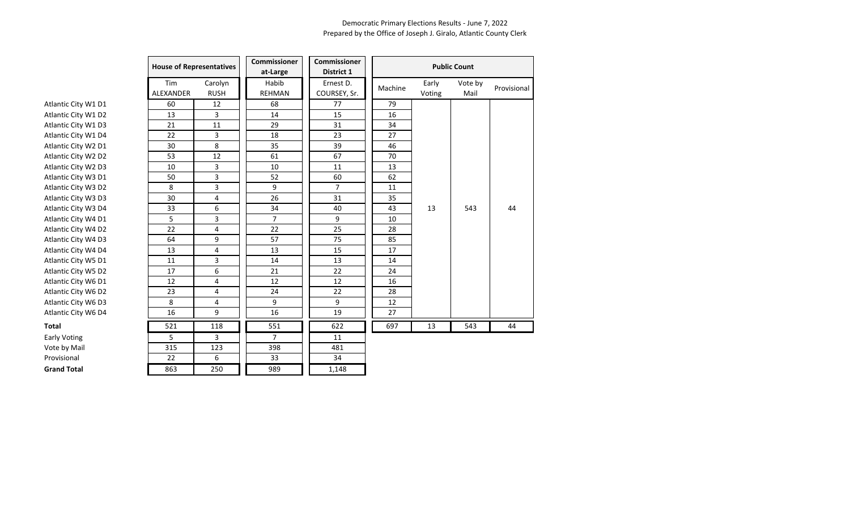|                     | <b>House of Representatives</b> |                        | <b>Commissioner</b><br>at-Large | <b>Commissioner</b><br>District 1 |         |                 | <b>Public Count</b> |             |
|---------------------|---------------------------------|------------------------|---------------------------------|-----------------------------------|---------|-----------------|---------------------|-------------|
|                     | Tim<br><b>ALEXANDER</b>         | Carolyn<br><b>RUSH</b> | Habib<br><b>REHMAN</b>          | Ernest D.<br>COURSEY, Sr.         | Machine | Early<br>Voting | Vote by<br>Mail     | Provisional |
| Atlantic City W1 D1 | 60                              | 12                     | 68                              | 77                                | 79      |                 |                     |             |
| Atlantic City W1 D2 | 13                              | 3                      | 14                              | 15                                | 16      |                 |                     |             |
| Atlantic City W1 D3 | 21                              | 11                     | 29                              | 31                                | 34      |                 |                     |             |
| Atlantic City W1 D4 | 22                              | 3                      | 18                              | 23                                | 27      |                 |                     |             |
| Atlantic City W2 D1 | 30                              | 8                      | 35                              | 39                                | 46      |                 |                     |             |
| Atlantic City W2 D2 | 53                              | 12                     | 61                              | 67                                | 70      |                 |                     |             |
| Atlantic City W2 D3 | 10                              | 3                      | 10                              | 11                                | 13      |                 |                     |             |
| Atlantic City W3 D1 | 50                              | 3                      | 52                              | 60                                | 62      |                 |                     |             |
| Atlantic City W3 D2 | 8                               | 3                      | 9                               | $\overline{7}$                    | 11      |                 |                     |             |
| Atlantic City W3 D3 | 30                              | 4                      | 26                              | 31                                | 35      |                 |                     |             |
| Atlantic City W3 D4 | 33                              | 6                      | 34                              | 40                                | 43      | 13              | 543                 | 44          |
| Atlantic City W4 D1 | 5                               | 3                      | $\overline{7}$                  | 9                                 | 10      |                 |                     |             |
| Atlantic City W4 D2 | 22                              | 4                      | 22                              | 25                                | 28      |                 |                     |             |
| Atlantic City W4 D3 | 64                              | 9                      | 57                              | 75                                | 85      |                 |                     |             |
| Atlantic City W4 D4 | 13                              | 4                      | 13                              | 15                                | 17      |                 |                     |             |
| Atlantic City W5 D1 | 11                              | 3                      | 14                              | 13                                | 14      |                 |                     |             |
| Atlantic City W5 D2 | 17                              | 6                      | 21                              | 22                                | 24      |                 |                     |             |
| Atlantic City W6 D1 | 12                              | 4                      | 12                              | 12                                | 16      |                 |                     |             |
| Atlantic City W6 D2 | 23                              | 4                      | 24                              | 22                                | 28      |                 |                     |             |
| Atlantic City W6 D3 | 8                               | 4                      | 9                               | 9                                 | 12      |                 |                     |             |
| Atlantic City W6 D4 | 16                              | 9                      | 16                              | 19                                | 27      |                 |                     |             |
| Total               | 521                             | 118                    | 551                             | 622                               | 697     | 13              | 543                 | 44          |
| <b>Early Voting</b> | 5                               | 3                      | $\overline{7}$                  | 11                                |         |                 |                     |             |
| Vote by Mail        | 315                             | 123                    | 398                             | 481                               |         |                 |                     |             |
| Provisional         | 22                              | 6                      | 33                              | 34                                |         |                 |                     |             |
| <b>Grand Total</b>  | 863                             | 250                    | 989                             | 1,148                             |         |                 |                     |             |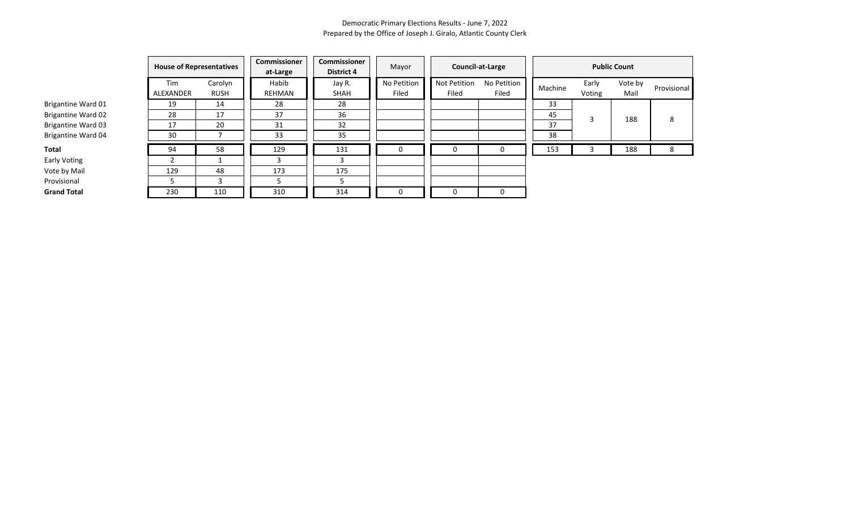|                           | <b>House of Representatives</b> |                        | Commissioner<br>at-Large | Commissioner<br><b>District 4</b> | Mayor                | Council-at-Large      |                      |         | <b>Public Count</b> |                 |             |  |
|---------------------------|---------------------------------|------------------------|--------------------------|-----------------------------------|----------------------|-----------------------|----------------------|---------|---------------------|-----------------|-------------|--|
|                           | Tim<br>ALEXANDER                | Carolyn<br><b>RUSH</b> | Habib<br>REHMAN          | Jay R.<br>SHAH                    | No Petition<br>Filed | Not Petition<br>Filed | No Petition<br>Filed | Machine | Early<br>Voting     | Vote by<br>Mail | Provisional |  |
| Brigantine Ward 01        | 19                              | 14                     | 28                       | 28                                |                      |                       |                      | 33      |                     |                 |             |  |
| <b>Brigantine Ward 02</b> | 28                              | 17                     | 37                       | 36                                |                      |                       |                      | 45      |                     | 188             | 8           |  |
| <b>Brigantine Ward 03</b> | 17                              | 20                     | 31                       | 32                                |                      |                       |                      | 37      |                     |                 |             |  |
| Brigantine Ward 04        | 30                              |                        | 33                       | 35                                |                      |                       |                      | 38      |                     |                 |             |  |
| Total                     | 94                              | 58                     | 129                      | 131                               | 0                    |                       | 0                    | 153     |                     | 188             | 8           |  |
| Early Voting              |                                 |                        |                          |                                   |                      |                       |                      |         |                     |                 |             |  |
| Vote by Mail              | 129                             | 48                     | 173                      | 175                               |                      |                       |                      |         |                     |                 |             |  |
| Provisional               |                                 |                        |                          |                                   |                      |                       |                      |         |                     |                 |             |  |
| <b>Grand Total</b>        | 230                             | 110                    | 310                      | 314                               | 0                    |                       | 0                    |         |                     |                 |             |  |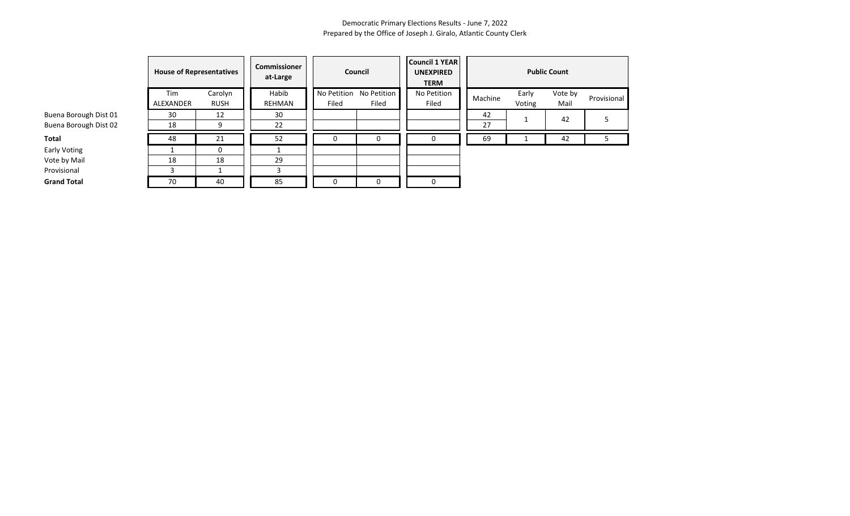|                       | <b>House of Representatives</b> |                        | Commissioner<br>Council<br>at-Large |                      |                      | <b>Council 1 YEAR</b><br><b>UNEXPIRED</b><br><b>TERM</b> | <b>Public Count</b> |                 |                 |             |  |
|-----------------------|---------------------------------|------------------------|-------------------------------------|----------------------|----------------------|----------------------------------------------------------|---------------------|-----------------|-----------------|-------------|--|
|                       | Tim<br>ALEXANDER                | Carolyn<br><b>RUSH</b> | Habib<br>REHMAN                     | No Petition<br>Filed | No Petition<br>Filed | No Petition<br>Filed                                     | Machine             | Early<br>Voting | Vote by<br>Mail | Provisional |  |
| Buena Borough Dist 01 | 30                              | 12                     | 30                                  |                      |                      |                                                          | 42                  |                 | 42              |             |  |
| Buena Borough Dist 02 | 18                              | 9                      | 22                                  |                      |                      |                                                          | 27                  |                 |                 |             |  |
| Total                 | 48                              | 21                     | 52                                  | U                    | 0                    | 0                                                        | 69                  |                 | 42              | 5.          |  |
| Early Voting          |                                 |                        |                                     |                      |                      |                                                          |                     |                 |                 |             |  |
| Vote by Mail          | 18                              | 18                     | 29                                  |                      |                      |                                                          |                     |                 |                 |             |  |
| Provisional           |                                 |                        |                                     |                      |                      |                                                          |                     |                 |                 |             |  |
| <b>Grand Total</b>    | 70                              | 40                     | 85                                  |                      | $\Omega$             | 0                                                        |                     |                 |                 |             |  |

# Early Voting Vote by Mail

Provisional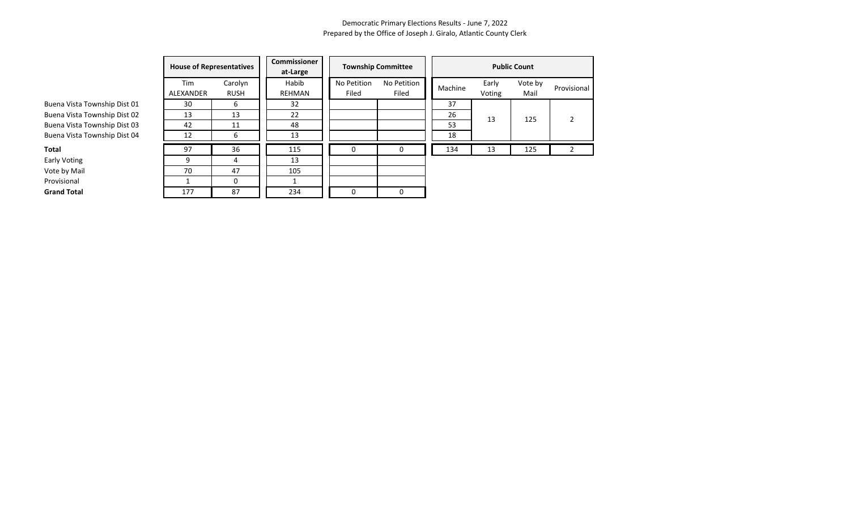Provisional

|                              |                                                                                                                                                                                                                                                                                                |                        | <b>Commissioner</b><br>at-Large |                      |                      |         |                 |                 |                |
|------------------------------|------------------------------------------------------------------------------------------------------------------------------------------------------------------------------------------------------------------------------------------------------------------------------------------------|------------------------|---------------------------------|----------------------|----------------------|---------|-----------------|-----------------|----------------|
|                              | Tim<br>ALEXANDER                                                                                                                                                                                                                                                                               | Carolyn<br><b>RUSH</b> | Habib<br>REHMAN                 | No Petition<br>Filed | No Petition<br>Filed | Machine | Early<br>Voting | Vote by<br>Mail | Provis         |
| Buena Vista Township Dist 01 | <b>Township Committee</b><br><b>House of Representatives</b><br><b>Public Count</b><br>37<br>32<br>30<br>6<br>26<br>13<br>22<br>13<br>13<br>125<br>53<br>48<br>42<br>11<br>18<br>12<br>13<br>6<br>97<br>36<br>115<br>134<br>125<br>13<br>$\Omega$<br>0<br>9<br>13<br>4<br>105<br>47<br>70<br>0 |                        |                                 |                      |                      |         |                 |                 |                |
| Buena Vista Township Dist 02 |                                                                                                                                                                                                                                                                                                |                        |                                 |                      |                      |         |                 |                 | $\overline{2}$ |
| Buena Vista Township Dist 03 |                                                                                                                                                                                                                                                                                                |                        |                                 |                      |                      |         |                 |                 |                |
| Buena Vista Township Dist 04 |                                                                                                                                                                                                                                                                                                |                        |                                 |                      |                      |         |                 |                 |                |
| Total                        |                                                                                                                                                                                                                                                                                                |                        |                                 |                      |                      |         |                 |                 |                |
| Early Voting                 |                                                                                                                                                                                                                                                                                                |                        |                                 |                      |                      |         |                 |                 |                |
| Vote by Mail                 |                                                                                                                                                                                                                                                                                                |                        |                                 |                      |                      |         |                 |                 |                |
| Provisional                  |                                                                                                                                                                                                                                                                                                |                        |                                 |                      |                      |         |                 |                 |                |
| <b>Grand Total</b>           | 177                                                                                                                                                                                                                                                                                            | 87                     | 234                             | 0                    | $\Omega$             |         |                 |                 |                |

**Early Voting** Vote by Mail

Provisional

**Grand Total**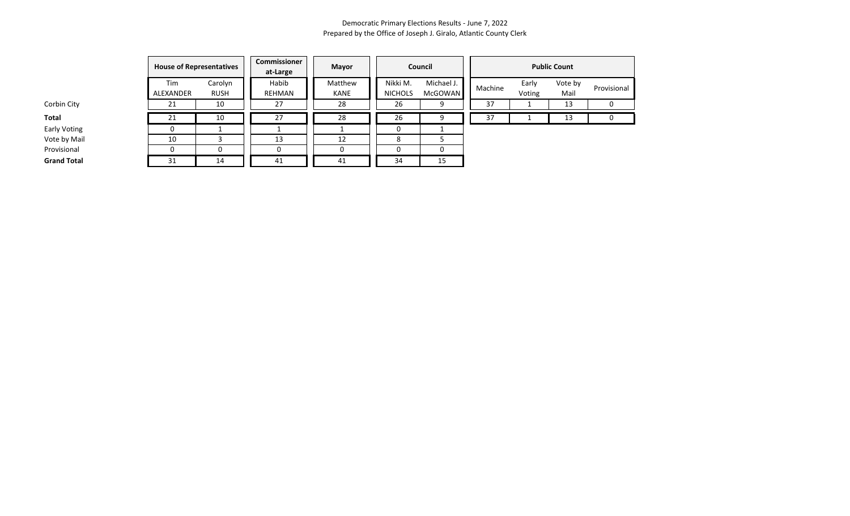|                    | <b>House of Representatives</b> |                        | Commissioner<br>at-Large | Mayor           |                            | Council                      | <b>Public Count</b> |                 |                 |             |
|--------------------|---------------------------------|------------------------|--------------------------|-----------------|----------------------------|------------------------------|---------------------|-----------------|-----------------|-------------|
|                    | Tim<br>ALEXANDER                | Carolyn<br><b>RUSH</b> | Habib<br>REHMAN          | Matthew<br>KANE | Nikki M.<br><b>NICHOLS</b> | Michael J.<br><b>McGOWAN</b> | Machine             | Early<br>Voting | Vote by<br>Mail | Provisional |
| Corbin City        | 21                              | 10                     | 27                       | 28              | 26                         | 9                            | 37                  |                 | 13              | 0           |
| Total              | 21                              | 10                     | 27                       | 28              | 26                         | 9                            | 37                  |                 | 13              | 0           |
| Early Voting       |                                 |                        |                          |                 | 0                          |                              |                     |                 |                 |             |
| Vote by Mail       | 10                              |                        | 13                       | 12              | 8                          |                              |                     |                 |                 |             |
| Provisional        |                                 |                        | 0                        | O               |                            | 0                            |                     |                 |                 |             |
| <b>Grand Total</b> | 31                              | 14                     | 41                       | 41              | 34                         | 15                           |                     |                 |                 |             |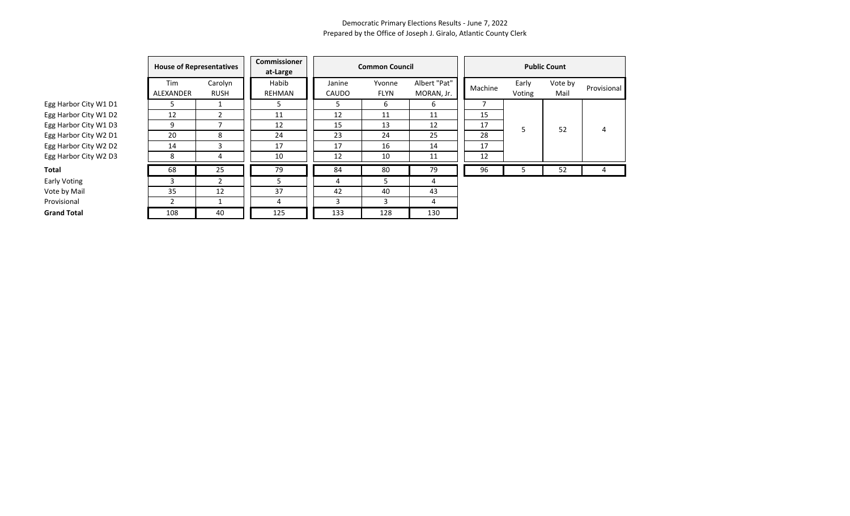|                       | <b>Commissioner</b><br><b>House of Representatives</b><br>at-Large |                        |                        |                 | <b>Common Council</b> | <b>Public Count</b>        |         |                 |                 |             |
|-----------------------|--------------------------------------------------------------------|------------------------|------------------------|-----------------|-----------------------|----------------------------|---------|-----------------|-----------------|-------------|
|                       | Tim<br>ALEXANDER                                                   | Carolyn<br><b>RUSH</b> | Habib<br><b>REHMAN</b> | Janine<br>CAUDO | Yvonne<br><b>FLYN</b> | Albert "Pat"<br>MORAN, Jr. | Machine | Early<br>Voting | Vote by<br>Mail | Provisional |
| Egg Harbor City W1 D1 | ר                                                                  |                        |                        |                 | 6                     | 6                          |         |                 |                 |             |
| Egg Harbor City W1 D2 | 12                                                                 |                        | 11                     | 12              | 11                    | 11                         | 15      |                 |                 |             |
| Egg Harbor City W1 D3 | 9                                                                  |                        | 12                     | 15              | 13                    | 12                         | 17      | 5               | 52              | 4           |
| Egg Harbor City W2 D1 | 20                                                                 | 8                      | 24                     | 23              | 24                    | 25                         | 28      |                 |                 |             |
| Egg Harbor City W2 D2 | 14                                                                 | 3                      | 17                     | 17              | 16                    | 14                         | 17      |                 |                 |             |
| Egg Harbor City W2 D3 | 8                                                                  | 4                      | 10                     | 12              | 10                    | 11                         | 12      |                 |                 |             |
| Total                 | 68                                                                 | 25                     | 79                     | 84              | 80                    | 79                         | 96      | 5               | 52              | 4           |
| <b>Early Voting</b>   | 3                                                                  |                        | ٠,                     | 4               | 5                     | 4                          |         |                 |                 |             |
| Vote by Mail          | 35                                                                 | 12                     | 37                     | 42              | 40                    | 43                         |         |                 |                 |             |
| Provisional           | 2                                                                  |                        | 4                      |                 | 3                     | 4                          |         |                 |                 |             |
| <b>Grand Total</b>    | 108                                                                | 40                     | 125                    | 133             | 128                   | 130                        |         |                 |                 |             |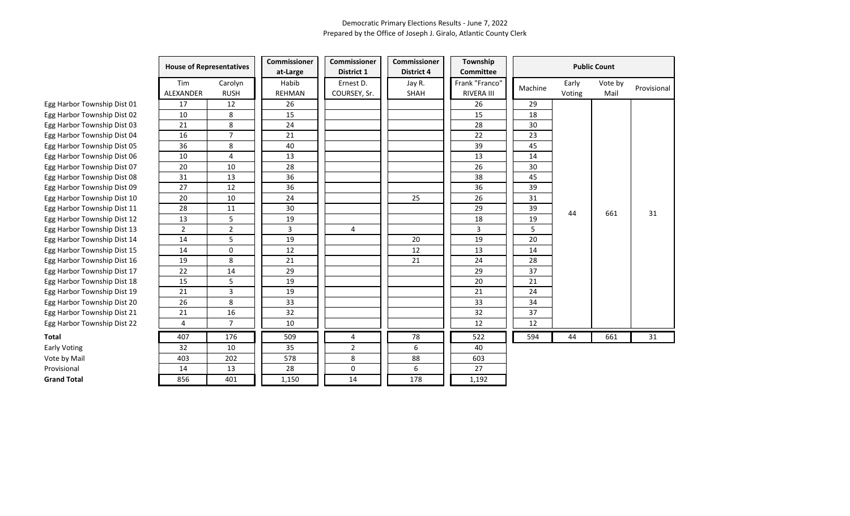|                             | <b>House of Representatives</b> |                        | Commissioner<br>at-Large | <b>Commissioner</b><br><b>District 1</b> | Commissioner<br><b>District 4</b> | Township<br><b>Committee</b>        |         |                 | <b>Public Count</b> |             |
|-----------------------------|---------------------------------|------------------------|--------------------------|------------------------------------------|-----------------------------------|-------------------------------------|---------|-----------------|---------------------|-------------|
|                             | Tim<br>ALEXANDER                | Carolyn<br><b>RUSH</b> | Habib<br><b>REHMAN</b>   | Ernest D.<br>COURSEY, Sr.                | Jay R.<br>SHAH                    | Frank "Franco"<br><b>RIVERA III</b> | Machine | Early<br>Voting | Vote by<br>Mail     | Provisional |
| Egg Harbor Township Dist 01 | 17                              | 12                     | 26                       |                                          |                                   | 26                                  | 29      |                 |                     |             |
| Egg Harbor Township Dist 02 | 10                              | 8                      | 15                       |                                          |                                   | 15                                  | 18      |                 |                     |             |
| Egg Harbor Township Dist 03 | 21                              | 8                      | 24                       |                                          |                                   | 28                                  | 30      |                 |                     |             |
| Egg Harbor Township Dist 04 | 16                              | $\overline{7}$         | 21                       |                                          |                                   | 22                                  | 23      |                 |                     |             |
| Egg Harbor Township Dist 05 | 36                              | 8                      | 40                       |                                          |                                   | 39                                  | 45      |                 |                     |             |
| Egg Harbor Township Dist 06 | 10                              | 4                      | 13                       |                                          |                                   | 13                                  | 14      |                 |                     |             |
| Egg Harbor Township Dist 07 | 20                              | 10                     | 28                       |                                          |                                   | 26                                  | 30      |                 |                     |             |
| Egg Harbor Township Dist 08 | 31                              | 13                     | 36                       |                                          |                                   | 38                                  | 45      |                 |                     |             |
| Egg Harbor Township Dist 09 | 27                              | 12                     | 36                       |                                          |                                   | 36                                  | 39      |                 |                     |             |
| Egg Harbor Township Dist 10 | 20                              | 10                     | 24                       |                                          | 25                                | 26                                  | 31      |                 |                     |             |
| Egg Harbor Township Dist 11 | 28                              | 11                     | 30                       |                                          |                                   | 29                                  | 39      | 44              | 661                 | 31          |
| Egg Harbor Township Dist 12 | 13                              | 5                      | 19                       |                                          |                                   | 18                                  | 19      |                 |                     |             |
| Egg Harbor Township Dist 13 | $\overline{2}$                  | $\overline{2}$         | 3                        | $\overline{4}$                           |                                   | 3                                   | 5       |                 |                     |             |
| Egg Harbor Township Dist 14 | 14                              | 5                      | 19                       |                                          | 20                                | 19                                  | 20      |                 |                     |             |
| Egg Harbor Township Dist 15 | 14                              | 0                      | 12                       |                                          | 12                                | 13                                  | 14      |                 |                     |             |
| Egg Harbor Township Dist 16 | 19                              | $\bf 8$                | 21                       |                                          | 21                                | 24                                  | 28      |                 |                     |             |
| Egg Harbor Township Dist 17 | 22                              | 14                     | 29                       |                                          |                                   | 29                                  | 37      |                 |                     |             |
| Egg Harbor Township Dist 18 | 15                              | 5                      | 19                       |                                          |                                   | 20                                  | 21      |                 |                     |             |
| Egg Harbor Township Dist 19 | 21                              | 3                      | 19                       |                                          |                                   | 21                                  | 24      |                 |                     |             |
| Egg Harbor Township Dist 20 | 26                              | 8                      | 33                       |                                          |                                   | 33                                  | 34      |                 |                     |             |
| Egg Harbor Township Dist 21 | 21                              | 16                     | 32                       |                                          |                                   | 32                                  | 37      |                 |                     |             |
| Egg Harbor Township Dist 22 | 4                               | $\overline{7}$         | 10                       |                                          |                                   | 12                                  | 12      |                 |                     |             |
| Total                       | 407                             | 176                    | 509                      | 4                                        | 78                                | 522                                 | 594     | 44              | 661                 | 31          |
| Early Voting                | 32                              | 10                     | 35                       | $\overline{2}$                           | 6                                 | 40                                  |         |                 |                     |             |
| Vote by Mail                | 403                             | 202                    | 578                      | 8                                        | 88                                | 603                                 |         |                 |                     |             |
| Provisional                 | 14                              | 13                     | 28                       | 0                                        | 6                                 | 27                                  |         |                 |                     |             |
| <b>Grand Total</b>          | 856                             | 401                    | 1,150                    | 14                                       | 178                               | 1,192                               |         |                 |                     |             |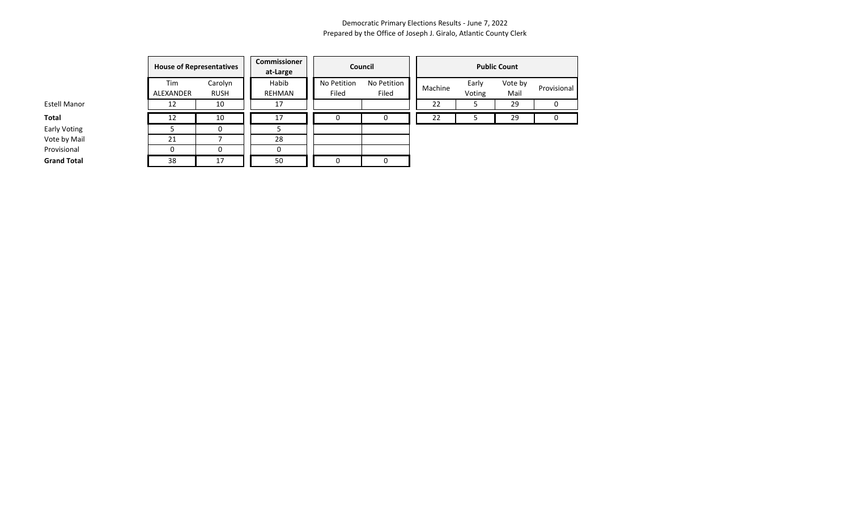|                     | <b>House of Representatives</b> |                        | Commissioner<br>at-Large |                      | Council              | <b>Public Count</b> |                 |                 |             |  |
|---------------------|---------------------------------|------------------------|--------------------------|----------------------|----------------------|---------------------|-----------------|-----------------|-------------|--|
|                     | Tim<br>ALEXANDER                | Carolyn<br><b>RUSH</b> | Habib<br>REHMAN          | No Petition<br>Filed | No Petition<br>Filed | Machine             | Early<br>Voting | Vote by<br>Mail | Provisional |  |
| <b>Estell Manor</b> | 12                              | 10                     | 17                       |                      |                      | 22                  |                 | 29              | 0           |  |
| Total               | 12                              | 10                     | 17                       | 0                    | $\Omega$             | 22                  |                 | 29              | 0           |  |
| Early Voting        |                                 |                        |                          |                      |                      |                     |                 |                 |             |  |
| Vote by Mail        | 21                              |                        | 28                       |                      |                      |                     |                 |                 |             |  |
| Provisional         |                                 |                        |                          |                      |                      |                     |                 |                 |             |  |
| <b>Grand Total</b>  | 38                              | 17                     | 50                       |                      | 0                    |                     |                 |                 |             |  |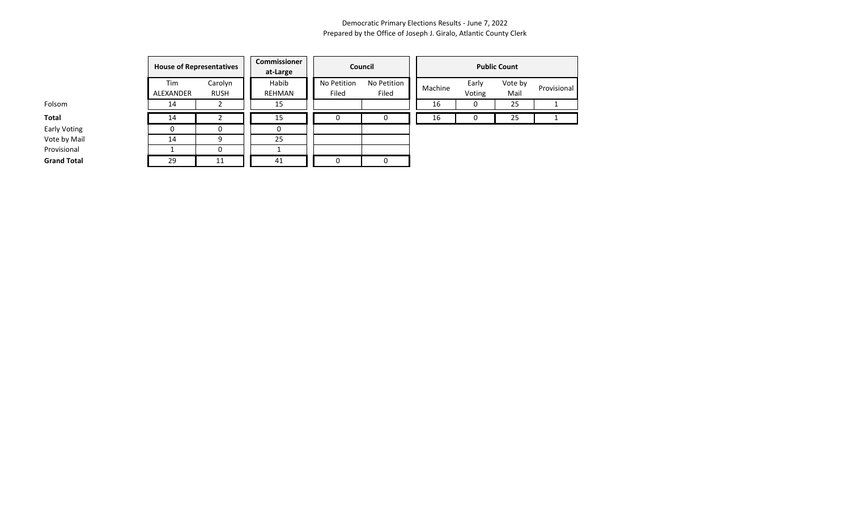|                     | <b>House of Representatives</b> |                        | Commissioner<br>at-Large |                      | Council              | <b>Public Count</b> |                 |                 |             |  |
|---------------------|---------------------------------|------------------------|--------------------------|----------------------|----------------------|---------------------|-----------------|-----------------|-------------|--|
|                     | Tim<br>ALEXANDER                | Carolyn<br><b>RUSH</b> | Habib<br>REHMAN          | No Petition<br>Filed | No Petition<br>Filed | Machine             | Early<br>Voting | Vote by<br>Mail | Provisional |  |
| Folsom              | 14                              |                        | 15                       |                      |                      | 16                  |                 | 25              |             |  |
| Total               | 14                              |                        | 15                       |                      |                      | 16                  |                 | 25              |             |  |
| <b>Early Voting</b> | 0                               |                        |                          |                      |                      |                     |                 |                 |             |  |
| Vote by Mail        | 14                              | q                      | 25                       |                      |                      |                     |                 |                 |             |  |
| Provisional         |                                 |                        |                          |                      |                      |                     |                 |                 |             |  |
| <b>Grand Total</b>  | 29                              | 11                     | 41                       |                      |                      |                     |                 |                 |             |  |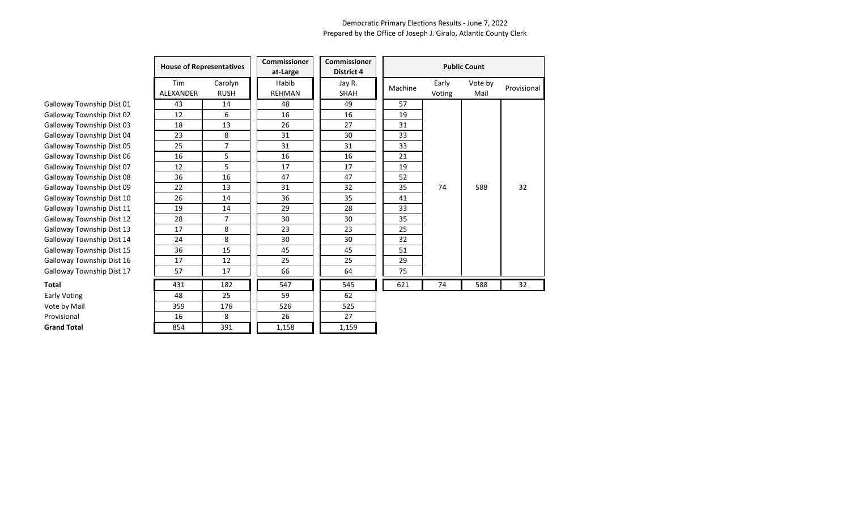|                           | <b>House of Representatives</b> |                        | Commissioner<br>at-Large | <b>Commissioner</b><br><b>District 4</b> |         |                 | <b>Public Count</b> |             |
|---------------------------|---------------------------------|------------------------|--------------------------|------------------------------------------|---------|-----------------|---------------------|-------------|
|                           | Tim<br><b>ALEXANDER</b>         | Carolyn<br><b>RUSH</b> | Habib<br><b>REHMAN</b>   | Jay R.<br>SHAH                           | Machine | Early<br>Voting | Vote by<br>Mail     | Provisional |
| Galloway Township Dist 01 | 43                              | 14                     | 48                       | 49                                       | 57      |                 |                     |             |
| Galloway Township Dist 02 | 12                              | 6                      | 16                       | 16                                       | 19      |                 |                     |             |
| Galloway Township Dist 03 | 18                              | 13                     | 26                       | 27                                       | 31      |                 |                     |             |
| Galloway Township Dist 04 | 23                              | 8                      | 31                       | 30                                       | 33      |                 |                     |             |
| Galloway Township Dist 05 | 25                              | $\overline{7}$         | 31                       | 31                                       | 33      |                 |                     |             |
| Galloway Township Dist 06 | 16                              | 5                      | 16                       | 16                                       | 21      |                 |                     |             |
| Galloway Township Dist 07 | 12                              | 5                      | 17                       | 17                                       | 19      |                 |                     |             |
| Galloway Township Dist 08 | 36                              | 16                     | 47                       | 47                                       | 52      |                 |                     |             |
| Galloway Township Dist 09 | 22                              | 13                     | 31                       | 32                                       | 35      | 74              | 588                 | 32          |
| Galloway Township Dist 10 | 26                              | 14                     | 36                       | 35                                       | 41      |                 |                     |             |
| Galloway Township Dist 11 | 19                              | 14                     | 29                       | 28                                       | 33      |                 |                     |             |
| Galloway Township Dist 12 | 28                              | $\overline{7}$         | 30                       | 30                                       | 35      |                 |                     |             |
| Galloway Township Dist 13 | 17                              | 8                      | 23                       | 23                                       | 25      |                 |                     |             |
| Galloway Township Dist 14 | 24                              | 8                      | 30                       | 30                                       | 32      |                 |                     |             |
| Galloway Township Dist 15 | 36                              | 15                     | 45                       | 45                                       | 51      |                 |                     |             |
| Galloway Township Dist 16 | 17                              | 12                     | 25                       | 25                                       | 29      |                 |                     |             |
| Galloway Township Dist 17 | 57                              | 17                     | 66                       | 64                                       | 75      |                 |                     |             |
| Total                     | 431                             | 182                    | 547                      | 545                                      | 621     | 74              | 588                 | 32          |
| <b>Early Voting</b>       | 48                              | 25                     | 59                       | 62                                       |         |                 |                     |             |
| Vote by Mail              | 359                             | 176                    | 526                      | 525                                      |         |                 |                     |             |
| Provisional               | 16                              | 8                      | 26                       | 27                                       |         |                 |                     |             |
| <b>Grand Total</b>        | 854                             | 391                    | 1,158                    | 1,159                                    |         |                 |                     |             |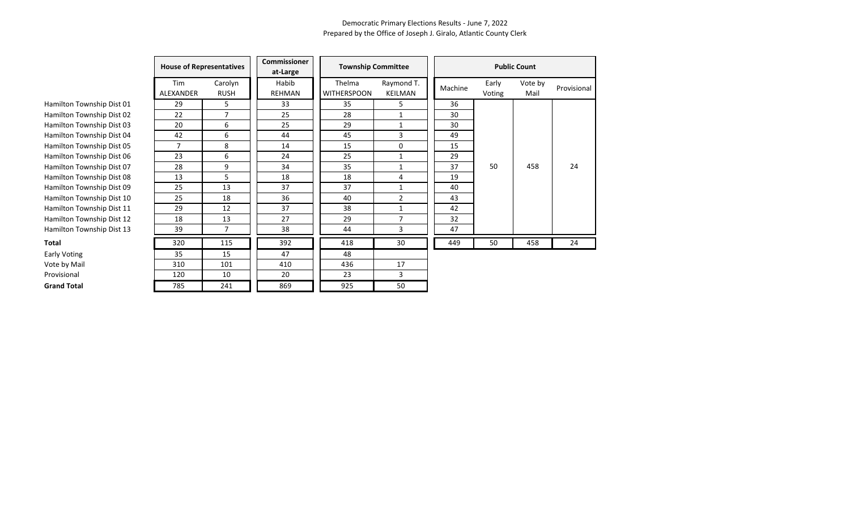|                           | <b>House of Representatives</b> |                | <b>Commissioner</b><br>at-Large | <b>Township Committee</b> |                | <b>Public Count</b> |        |         |             |
|---------------------------|---------------------------------|----------------|---------------------------------|---------------------------|----------------|---------------------|--------|---------|-------------|
|                           | Tim                             | Carolyn        | Habib                           | Thelma                    | Raymond T.     |                     | Early  | Vote by |             |
|                           | ALEXANDER                       | <b>RUSH</b>    | <b>REHMAN</b>                   | <b>WITHERSPOON</b>        | <b>KEILMAN</b> | Machine             | Voting | Mail    | Provisional |
| Hamilton Township Dist 01 | 29                              | 5              | 33                              | 35                        | 5              | 36                  |        |         |             |
| Hamilton Township Dist 02 | 22                              | $\overline{7}$ | 25                              | 28                        | $\mathbf{1}$   | 30                  |        |         |             |
| Hamilton Township Dist 03 | 20                              | 6              | 25                              | 29                        | $\mathbf{1}$   | 30                  |        |         |             |
| Hamilton Township Dist 04 | 42                              | 6              | 44                              | 45                        | 3              | 49                  |        |         |             |
| Hamilton Township Dist 05 | $\overline{7}$                  | 8              | 14                              | 15                        | 0              | 15                  |        |         |             |
| Hamilton Township Dist 06 | 23                              | 6              | 24                              | 25                        | 1              | 29                  |        |         |             |
| Hamilton Township Dist 07 | 28                              | 9              | 34                              | 35                        | 1              | 37                  | 50     | 458     | 24          |
| Hamilton Township Dist 08 | 13                              | 5              | 18                              | 18                        | 4              | 19                  |        |         |             |
| Hamilton Township Dist 09 | 25                              | 13             | 37                              | 37                        | $\mathbf{1}$   | 40                  |        |         |             |
| Hamilton Township Dist 10 | 25                              | 18             | 36                              | 40                        | $\overline{2}$ | 43                  |        |         |             |
| Hamilton Township Dist 11 | 29                              | 12             | 37                              | 38                        | 1              | 42                  |        |         |             |
| Hamilton Township Dist 12 | 18                              | 13             | 27                              | 29                        | 7              | 32                  |        |         |             |
| Hamilton Township Dist 13 | 39                              |                | 38                              | 44                        | 3              | 47                  |        |         |             |
| <b>Total</b>              | 320                             | 115            | 392                             | 418                       | 30             | 449                 | 50     | 458     | 24          |
| Early Voting              | 35                              | 15             | 47                              | 48                        |                |                     |        |         |             |
| Vote by Mail              | 310                             | 101            | 410                             | 436                       | 17             |                     |        |         |             |
| Provisional               | 120                             | 10             | 20                              | 23                        | 3              |                     |        |         |             |
| <b>Grand Total</b>        | 785                             | 241            | 869                             | 925                       | 50             |                     |        |         |             |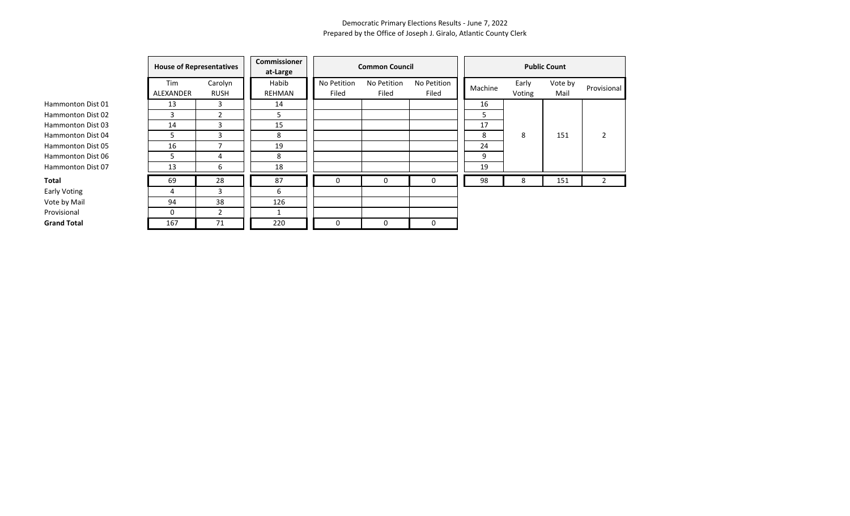|                    |                  | <b>House of Representatives</b> |                        | <b>Common Council</b> |                      |                      | <b>Public Count</b> |                 |                 |                |  |
|--------------------|------------------|---------------------------------|------------------------|-----------------------|----------------------|----------------------|---------------------|-----------------|-----------------|----------------|--|
|                    | Tim<br>ALEXANDER | Carolyn<br><b>RUSH</b>          | Habib<br><b>REHMAN</b> | No Petition<br>Filed  | No Petition<br>Filed | No Petition<br>Filed | Machine             | Early<br>Voting | Vote by<br>Mail | Provisional    |  |
| Hammonton Dist 01  | 13               | 3                               | 14                     |                       |                      |                      | 16                  |                 |                 |                |  |
| Hammonton Dist 02  | 3                | $\overline{2}$                  | 5                      |                       |                      |                      | 5                   |                 |                 |                |  |
| Hammonton Dist 03  | 14               | 3                               | 15                     |                       |                      |                      | 17                  |                 |                 |                |  |
| Hammonton Dist 04  | 5                | 3                               | 8                      |                       |                      |                      | 8                   | 8               | 151             | $\overline{2}$ |  |
| Hammonton Dist 05  | 16               |                                 | 19                     |                       |                      |                      | 24                  |                 |                 |                |  |
| Hammonton Dist 06  | 5                | 4                               | 8                      |                       |                      |                      | 9                   |                 |                 |                |  |
| Hammonton Dist 07  | 13               | 6                               | 18                     |                       |                      |                      | 19                  |                 |                 |                |  |
| Total              | 69               | 28                              | 87                     | 0                     | $\Omega$             | 0                    | 98                  | 8               | 151             | $2^{\circ}$    |  |
| Early Voting       | 4                | 3                               | 6                      |                       |                      |                      |                     |                 |                 |                |  |
| Vote by Mail       | 94               | 38                              | 126                    |                       |                      |                      |                     |                 |                 |                |  |
| Provisional        | $\Omega$         | $\overline{2}$                  |                        |                       |                      |                      |                     |                 |                 |                |  |
| <b>Grand Total</b> | 167              | 71                              | 220                    | 0                     | 0                    | 0                    |                     |                 |                 |                |  |

Early Voti Vote by N Provisiona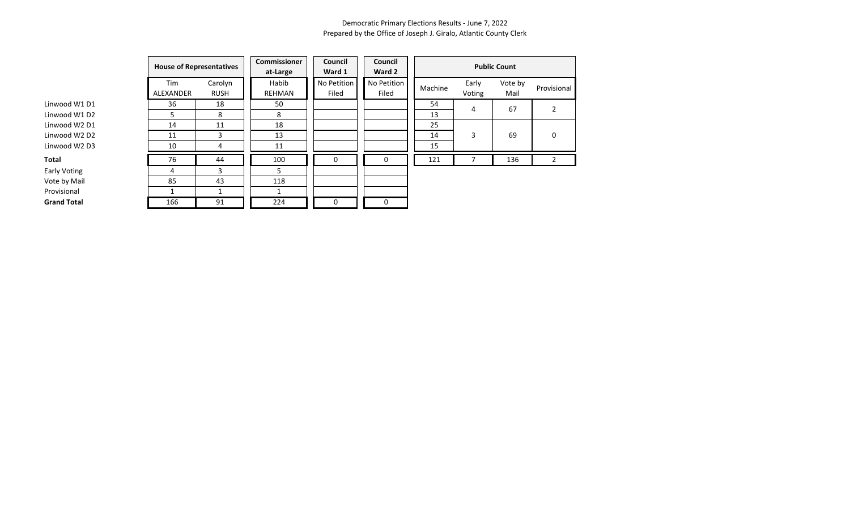|                    |                  | <b>House of Representatives</b> |                        | Council<br>Ward 1    | Commissioner         | Council<br>Ward 2 | <b>Public Count</b> |                 |             |  |  |
|--------------------|------------------|---------------------------------|------------------------|----------------------|----------------------|-------------------|---------------------|-----------------|-------------|--|--|
|                    | Tim<br>ALEXANDER | Carolyn<br><b>RUSH</b>          | Habib<br><b>REHMAN</b> | No Petition<br>Filed | No Petition<br>Filed | Machine           | Early<br>Voting     | Vote by<br>Mail | Provisional |  |  |
| Linwood W1 D1      | 36               | 18                              | 50                     |                      |                      | 54                | 4                   | 67              |             |  |  |
| Linwood W1 D2      | 5.               | 8                               | 8                      |                      |                      | 13                |                     |                 |             |  |  |
| Linwood W2 D1      | 14               | 11                              | 18                     |                      |                      | 25                |                     |                 |             |  |  |
| Linwood W2 D2      | 11               | 3                               | 13                     |                      |                      | 14                | 3                   | 69              | 0           |  |  |
| Linwood W2 D3      | 10               | 4                               | 11                     |                      |                      | 15                |                     |                 |             |  |  |
| Total              | 76               | 44                              | 100                    | 0                    | 0                    | 121               |                     | 136             | 2           |  |  |
| Early Voting       | 4                | 3                               | 5.                     |                      |                      |                   |                     |                 |             |  |  |
| Vote by Mail       | 85               | 43                              | 118                    |                      |                      |                   |                     |                 |             |  |  |
| Provisional        |                  |                                 |                        |                      |                      |                   |                     |                 |             |  |  |
| <b>Grand Total</b> | 166              | 91                              | 224                    | 0                    | 0                    |                   |                     |                 |             |  |  |

Linwood W1 D1 Linwood W1 D2 Linwood W2 D1 Linwood W2 D2

Early Voting Vote by Mail Provisional **Grand Total**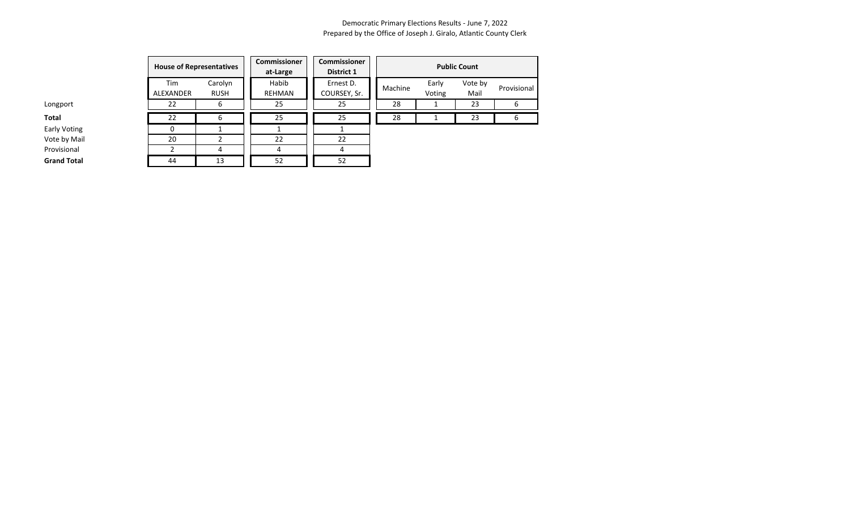|                     |                  | <b>House of Representatives</b> |                        | Commissioner<br>District 1 | <b>Public Count</b> |                 |                 |        |  |
|---------------------|------------------|---------------------------------|------------------------|----------------------------|---------------------|-----------------|-----------------|--------|--|
|                     | Tim<br>ALEXANDER | Carolyn<br><b>RUSH</b>          | Habib<br><b>REHMAN</b> | Ernest D.<br>COURSEY, Sr.  | Machine             | Early<br>Voting | Vote by<br>Mail | Provis |  |
| Longport            | 22               | 6                               | 25                     | 25                         | 28                  |                 | 23              | 6      |  |
| Total               | 22               | 6                               | 25                     | 25                         | 28                  |                 | 23              | 6      |  |
| <b>Early Voting</b> |                  |                                 |                        |                            |                     |                 |                 |        |  |
| Vote by Mail        | 20               |                                 | 22                     | 22                         |                     |                 |                 |        |  |
| Provisional         |                  | 4                               | 4                      |                            |                     |                 |                 |        |  |
| <b>Grand Total</b>  | 44               | 13                              | 52                     | 52                         |                     |                 |                 |        |  |

| <b>Public Count</b> |                 |                 |             |  |  |  |  |  |  |  |
|---------------------|-----------------|-----------------|-------------|--|--|--|--|--|--|--|
| Machine             | Early<br>Voting | Vote by<br>Mail | Provisional |  |  |  |  |  |  |  |
| 28                  |                 | 23              |             |  |  |  |  |  |  |  |
| 28                  |                 |                 |             |  |  |  |  |  |  |  |
|                     |                 |                 |             |  |  |  |  |  |  |  |

Early Voting Vote by Mail Provisional **Grand Total**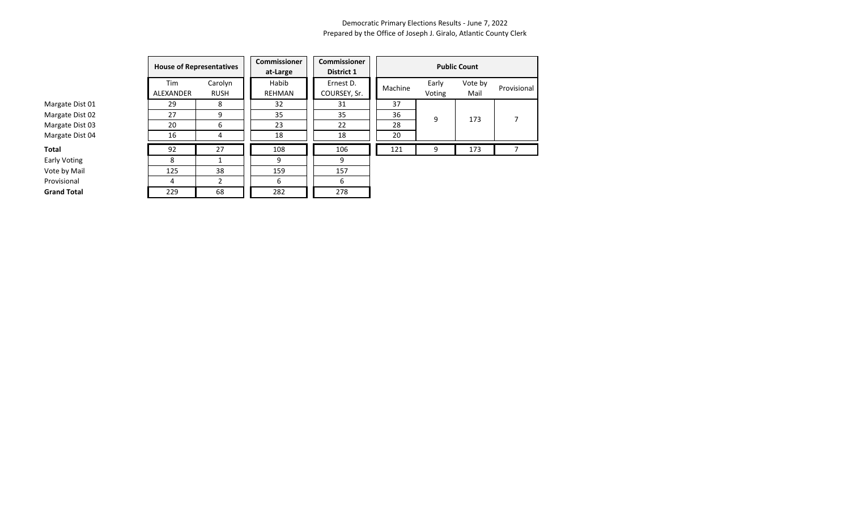|                    | <b>House of Representatives</b> |                        | <b>Commissioner</b><br>at-Large | <b>Commissioner</b><br><b>District 1</b> | <b>Public Count</b> |                 |                 |             |  |  |
|--------------------|---------------------------------|------------------------|---------------------------------|------------------------------------------|---------------------|-----------------|-----------------|-------------|--|--|
|                    | Tim<br>ALEXANDER                | Carolyn<br><b>RUSH</b> | Habib<br><b>REHMAN</b>          | Ernest D.<br>COURSEY, Sr.                | Machine             | Early<br>Voting | Vote by<br>Mail | Provisional |  |  |
| Margate Dist 01    | 29                              | 8                      | 32                              | 31                                       | 37                  |                 |                 |             |  |  |
| Margate Dist 02    | 27                              | 9                      | 35                              | 35                                       | 36                  | 9               | 173             |             |  |  |
| Margate Dist 03    | 20                              | 6                      | 23                              | 22                                       | 28                  |                 |                 |             |  |  |
| Margate Dist 04    | 16                              | 4                      | 18                              | 18                                       | 20                  |                 |                 |             |  |  |
| <b>Total</b>       | 92                              | 27                     | 108                             | 106                                      | 121                 | 9               | 173             |             |  |  |
| Early Voting       | 8                               |                        | 9                               | 9                                        |                     |                 |                 |             |  |  |
| Vote by Mail       | 125                             | 38                     | 159                             | 157                                      |                     |                 |                 |             |  |  |
| Provisional        | 4                               |                        | 6                               | 6                                        |                     |                 |                 |             |  |  |
| <b>Grand Total</b> | 229                             | 68                     | 282                             | 278                                      |                     |                 |                 |             |  |  |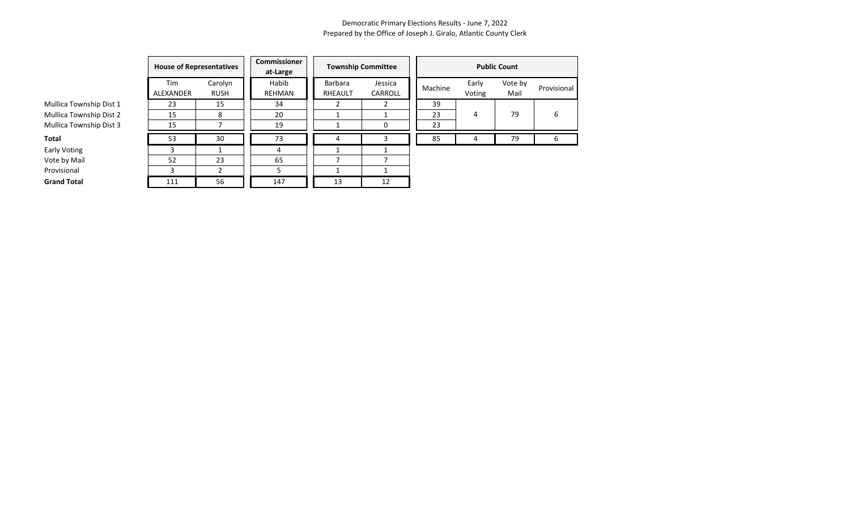|                         | <b>House of Representatives</b> |                        | <b>Commissioner</b><br>at-Large |                    | <b>Township Committee</b> | <b>Public Count</b> |                 |                 |             |  |
|-------------------------|---------------------------------|------------------------|---------------------------------|--------------------|---------------------------|---------------------|-----------------|-----------------|-------------|--|
|                         | Tim<br><b>ALEXANDER</b>         | Carolyn<br><b>RUSH</b> | Habib<br><b>REHMAN</b>          | Barbara<br>RHEAULT | Jessica<br>CARROLL        | Machine             | Early<br>Voting | Vote by<br>Mail | Provisional |  |
| Mullica Township Dist 1 | 23                              | 15                     | 34                              |                    |                           | 39                  |                 |                 |             |  |
| Mullica Township Dist 2 | 15                              | 8                      | 20                              |                    |                           | 23                  | 4               | 79              | 6           |  |
| Mullica Township Dist 3 | 15                              |                        | 19                              |                    | 0                         | 23                  |                 |                 |             |  |
| Total                   | 53                              | 30                     | 73                              |                    |                           | 85                  | 4               | 79              | 6           |  |
| Early Voting            |                                 |                        |                                 |                    |                           |                     |                 |                 |             |  |
| Vote by Mail            | 52                              | 23                     | 65                              |                    |                           |                     |                 |                 |             |  |
| Provisional             | ર                               |                        |                                 |                    |                           |                     |                 |                 |             |  |
| <b>Grand Total</b>      | 111                             | 56                     | 147                             | 13                 | 12                        |                     |                 |                 |             |  |

Mullica Townsl Mullica Townsl Mullica Townsl

Early Voting

Vote by Mail

**Grand Total**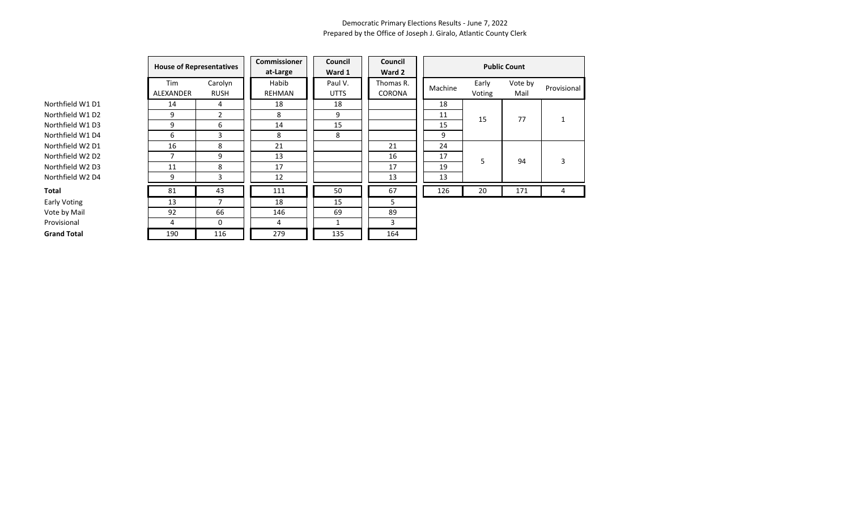|                    |                  | <b>House of Representatives</b> |                        | <b>Council</b><br>Ward 1 | Council<br>Ward 2   |         | <b>Public Count</b> |                 |             |  |
|--------------------|------------------|---------------------------------|------------------------|--------------------------|---------------------|---------|---------------------|-----------------|-------------|--|
|                    | Tim<br>ALEXANDER | Carolyn<br><b>RUSH</b>          | Habib<br><b>REHMAN</b> | Paul V.<br><b>UTTS</b>   | Thomas R.<br>CORONA | Machine | Early<br>Voting     | Vote by<br>Mail | Provisional |  |
| Northfield W1 D1   | 14               | 4                               | 18                     | 18                       |                     | 18      |                     |                 |             |  |
| Northfield W1 D2   | 9                | $\overline{2}$                  | 8                      | 9                        |                     | 11      | 15                  | 77              |             |  |
| Northfield W1 D3   | 9                | 6                               | 14                     | 15                       |                     | 15      |                     |                 |             |  |
| Northfield W1 D4   | 6                | 3                               | 8                      | 8                        |                     | 9       |                     |                 |             |  |
| Northfield W2 D1   | 16               | 8                               | 21                     |                          | 21                  | 24      |                     |                 |             |  |
| Northfield W2 D2   | 7                | 9                               | 13                     |                          | 16                  | 17      | 5                   | 94              | 3           |  |
| Northfield W2 D3   | 11               | 8                               | 17                     |                          | 17                  | 19      |                     |                 |             |  |
| Northfield W2 D4   | 9                | 3                               | 12                     |                          | 13                  | 13      |                     |                 |             |  |
| Total              | 81               | 43                              | 111                    | 50                       | 67                  | 126     | 20                  | 171             | 4           |  |
| Early Voting       | 13               |                                 | 18                     | 15                       | 5                   |         |                     |                 |             |  |
| Vote by Mail       | 92               | 66                              | 146                    | 69                       | 89                  |         |                     |                 |             |  |
| Provisional        | 4                | 0                               | 4                      |                          | 3                   |         |                     |                 |             |  |
| <b>Grand Total</b> | 190              | 116                             | 279                    | 135                      | 164                 |         |                     |                 |             |  |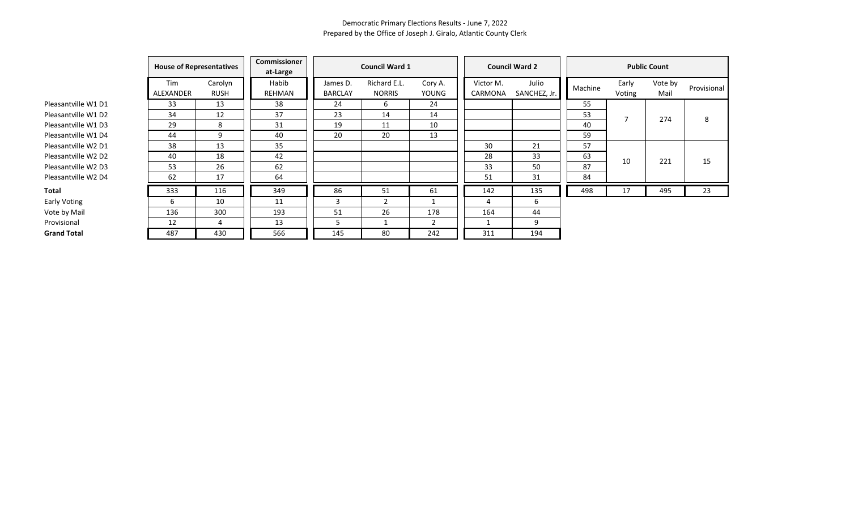|                     |                  | <b>House of Representatives</b> |                        |                            | <b>Council Ward 1</b>         |                  |                      | <b>Council Ward 2</b> | <b>Public Count</b> |                 |                 |             |  |
|---------------------|------------------|---------------------------------|------------------------|----------------------------|-------------------------------|------------------|----------------------|-----------------------|---------------------|-----------------|-----------------|-------------|--|
|                     | Tim<br>ALEXANDER | Carolyn<br><b>RUSH</b>          | Habib<br><b>REHMAN</b> | James D.<br><b>BARCLAY</b> | Richard E.L.<br><b>NORRIS</b> | Cory A.<br>YOUNG | Victor M.<br>CARMONA | Julio<br>SANCHEZ, Jr. | Machine             | Early<br>Voting | Vote by<br>Mail | Provisional |  |
| Pleasantville W1 D1 | 33               | 13                              | 38                     | 24                         | 6                             | 24               |                      |                       | 55                  |                 |                 |             |  |
| Pleasantville W1 D2 | 34               | 12                              | 37                     | 23                         | 14                            | 14               |                      |                       | 53                  | 7               | 274             | 8           |  |
| Pleasantville W1 D3 | 29               | 8                               | 31                     | 19                         | 11                            | 10               |                      |                       | 40                  |                 |                 |             |  |
| Pleasantville W1 D4 | 44               | 9                               | 40                     | 20                         | 20                            | 13               |                      |                       | 59                  |                 |                 |             |  |
| Pleasantville W2 D1 | 38               | 13                              | 35                     |                            |                               |                  | 30                   | 21                    | 57                  |                 |                 |             |  |
| Pleasantville W2 D2 | 40               | 18                              | 42                     |                            |                               |                  | 28                   | 33                    | 63                  | 10              | 221             | 15          |  |
| Pleasantville W2 D3 | 53               | 26                              | 62                     |                            |                               |                  | 33                   | 50                    | 87                  |                 |                 |             |  |
| Pleasantville W2 D4 | 62               | 17                              | 64                     |                            |                               |                  | 51                   | 31                    | 84                  |                 |                 |             |  |
| Total               | 333              | 116                             | 349                    | 86                         | 51                            | 61               | 142                  | 135                   | 498                 | 17              | 495             | 23          |  |
| Early Voting        | b                | 10                              | 11                     | 3                          | $\mathfrak{p}$                |                  | 4                    | b                     |                     |                 |                 |             |  |
| Vote by Mail        | 136              | 300                             | 193                    | 51                         | 26                            | 178              | 164                  | 44                    |                     |                 |                 |             |  |
| Provisional         | 12               |                                 | 13                     | כ                          |                               | $\overline{2}$   |                      | 9                     |                     |                 |                 |             |  |
| <b>Grand Total</b>  | 487              | 430                             | 566                    | 145                        | 80                            | 242              | 311                  | 194                   |                     |                 |                 |             |  |
|                     |                  |                                 |                        |                            |                               |                  |                      |                       |                     |                 |                 |             |  |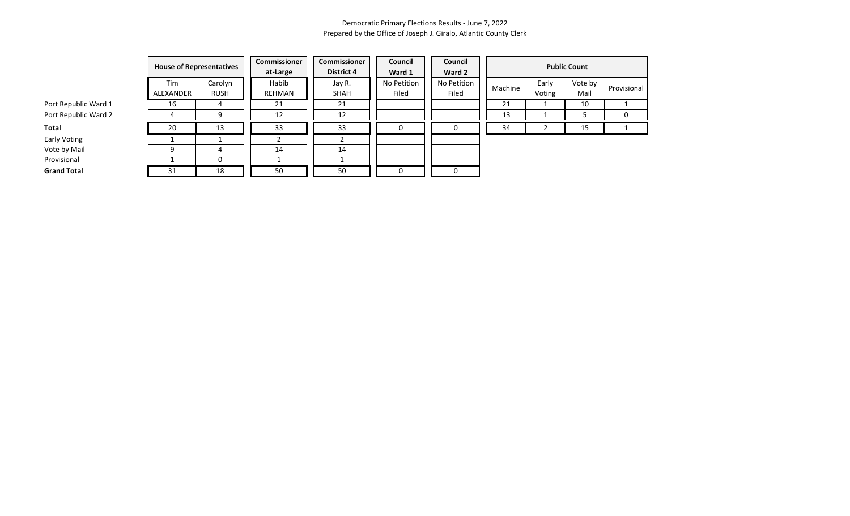|                      |                  | <b>House of Representatives</b> |                 | Commissioner<br><b>District 4</b> | Council<br>Ward 1    | Council<br>Ward 2    | <b>Public Count</b> |                 |                 |             |  |
|----------------------|------------------|---------------------------------|-----------------|-----------------------------------|----------------------|----------------------|---------------------|-----------------|-----------------|-------------|--|
|                      | Tim<br>ALEXANDER | Carolyn<br><b>RUSH</b>          | Habib<br>REHMAN | Jay R.<br>SHAH                    | No Petition<br>Filed | No Petition<br>Filed | Machine             | Early<br>Voting | Vote by<br>Mail | Provisional |  |
| Port Republic Ward 1 | 16               | 4                               | 21              | 21                                |                      |                      | 21                  |                 | 10              |             |  |
| Port Republic Ward 2 |                  | 9                               | 12              | 12                                |                      |                      | 13                  |                 |                 |             |  |
| Total                | 20               | 13                              | 33              | 33                                | 0                    | 0                    | 34                  |                 | 15              |             |  |
| Early Voting         |                  |                                 |                 |                                   |                      |                      |                     |                 |                 |             |  |
| Vote by Mail         | a                | 4                               | 14              | 14                                |                      |                      |                     |                 |                 |             |  |
| Provisional          |                  | 0                               |                 |                                   |                      |                      |                     |                 |                 |             |  |
| <b>Grand Total</b>   | 31               | 18                              | 50              | 50                                | 0                    | 0                    |                     |                 |                 |             |  |

**Early Voting** Vote by Mai

Provisional<br>Grand Total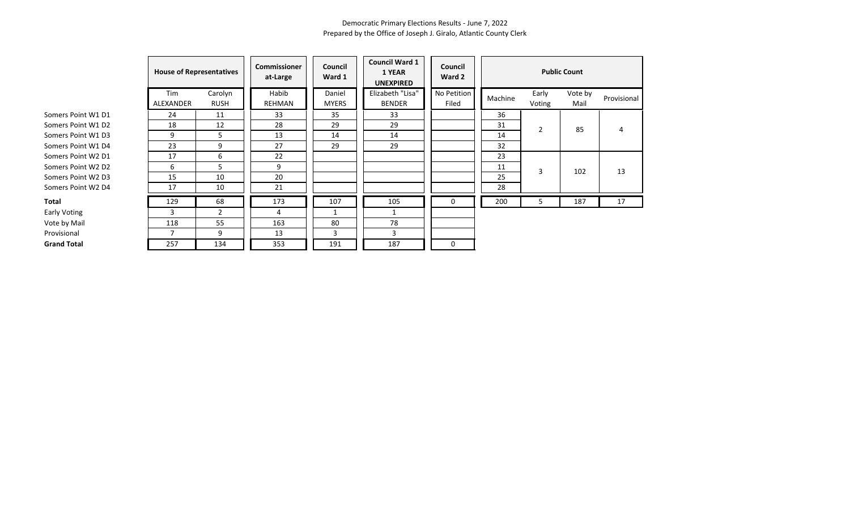|                    | <b>House of Representatives</b> |                        | <b>Commissioner</b><br>Council<br>Ward 1<br>at-Large |                        | <b>Council Ward 1</b><br>1 YEAR<br><b>UNEXPIRED</b> | Council<br>Ward 2    | <b>Public Count</b> |                 |                 |             |  |
|--------------------|---------------------------------|------------------------|------------------------------------------------------|------------------------|-----------------------------------------------------|----------------------|---------------------|-----------------|-----------------|-------------|--|
|                    | Tim<br>ALEXANDER                | Carolyn<br><b>RUSH</b> | Habib<br>REHMAN                                      | Daniel<br><b>MYERS</b> | Elizabeth "Lisa"<br><b>BENDER</b>                   | No Petition<br>Filed | Machine             | Early<br>Voting | Vote by<br>Mail | Provisional |  |
| Somers Point W1 D1 | 24                              | 11                     | 33                                                   | 35                     | 33                                                  |                      | 36                  |                 |                 |             |  |
| Somers Point W1 D2 | 18                              | 12                     | 28                                                   | 29                     | 29                                                  |                      | 31                  | $\overline{2}$  | 85              | 4           |  |
| Somers Point W1 D3 | 9                               | 5                      | 13                                                   | 14                     | 14                                                  |                      | 14                  |                 |                 |             |  |
| Somers Point W1 D4 | 23                              | 9                      | 27                                                   | 29                     | 29                                                  |                      | 32                  |                 |                 |             |  |
| Somers Point W2 D1 | 17                              | 6                      | 22                                                   |                        |                                                     |                      | 23                  |                 |                 |             |  |
| Somers Point W2 D2 | 6                               | 5                      | 9                                                    |                        |                                                     |                      | 11                  | 3               | 102             | 13          |  |
| Somers Point W2 D3 | 15                              | 10                     | 20                                                   |                        |                                                     |                      | 25                  |                 |                 |             |  |
| Somers Point W2 D4 | 17                              | 10                     | 21                                                   |                        |                                                     |                      | 28                  |                 |                 |             |  |
| Total              | 129                             | 68                     | 173                                                  | 107                    | 105                                                 | 0                    | 200                 | 5               | 187             | 17          |  |
| Early Voting       | 3                               | $\mathbf{2}$           | 4                                                    | 1                      |                                                     |                      |                     |                 |                 |             |  |
| Vote by Mail       | 118                             | 55                     | 163                                                  | 80                     | 78                                                  |                      |                     |                 |                 |             |  |
| Provisional        |                                 | 9                      | 13                                                   | 3                      | 3                                                   |                      |                     |                 |                 |             |  |
| <b>Grand Total</b> | 257                             | 134                    | 353                                                  | 191                    | 187                                                 | 0                    |                     |                 |                 |             |  |

Early Voting **Provisional**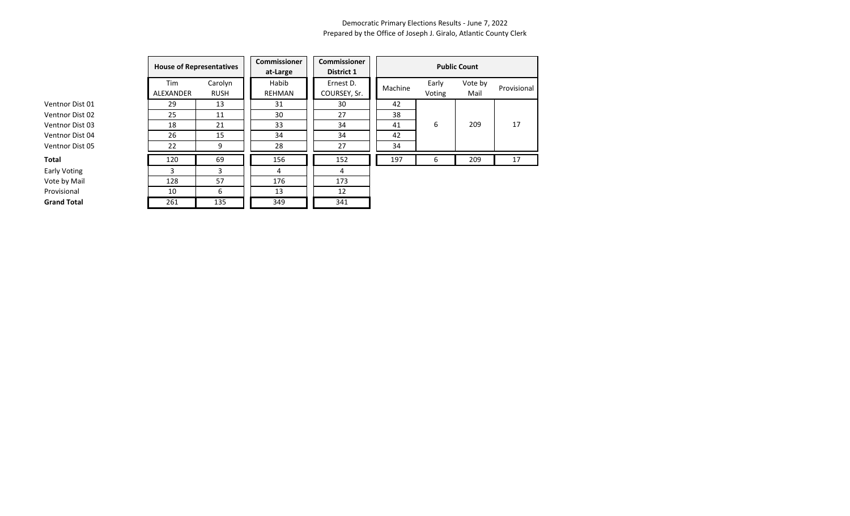|                    | <b>House of Representatives</b> |                        | <b>Commissioner</b><br>at-Large |  | <b>Commissioner</b><br><b>District 1</b> |         |                 |                 |             |
|--------------------|---------------------------------|------------------------|---------------------------------|--|------------------------------------------|---------|-----------------|-----------------|-------------|
|                    | Tim<br>ALEXANDER                | Carolyn<br><b>RUSH</b> | Habib<br>REHMAN                 |  | Ernest D.<br>COURSEY, Sr.                | Machine | Early<br>Voting | Vote by<br>Mail | Provisional |
| Ventnor Dist 01    | 29                              | 13                     | 31                              |  | 30                                       | 42      |                 |                 |             |
| Ventnor Dist 02    | 25                              | 11                     | 30                              |  | 27                                       | 38      |                 |                 |             |
| Ventnor Dist 03    | 18                              | 21                     | 33                              |  | 34                                       | 41      | 6               | 209             | 17          |
| Ventnor Dist 04    | 26                              | 15                     | 34                              |  | 34                                       | 42      |                 |                 |             |
| Ventnor Dist 05    | 22                              | 9                      | 28                              |  | 27                                       | 34      |                 |                 |             |
| Total              | 120                             | 69                     | 156                             |  | 152                                      | 197     | 6               | 209             | 17          |
| Early Voting       | 3                               | 3                      | 4                               |  | 4                                        |         |                 |                 |             |
| Vote by Mail       | 128                             | 57                     | 176                             |  | 173                                      |         |                 |                 |             |
| Provisional        | 10                              | 6                      | 13                              |  | 12                                       |         |                 |                 |             |
| <b>Grand Total</b> | 261                             | 135                    | 349                             |  | 341                                      |         |                 |                 |             |